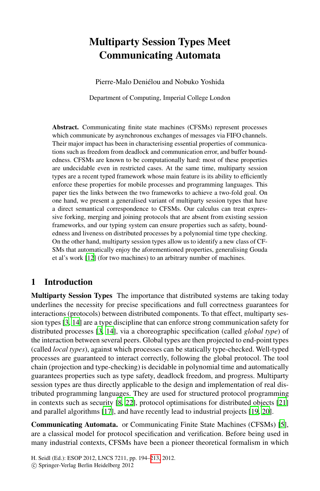# **Multiparty Session Types Meet Communicating Automata**

Pierre-Malo Deniélou and Nobuko Yoshida

Department of Computing, Imperial College London

**Abstract.** Communicating finite state machines (CFSMs) represent processes which communicate by asynchronous exchanges of messages via FIFO channels. Their major impact has been in characterising essential properties of communications such as freedom from deadlock and communication error, and buffer boundedness. CFSMs are known to be computationally hard: most of these properties are undecidable even in restricted cases. At the same time, multiparty session types are a recent typed framework whose main feature is its ability to efficiently enforce these properties for mobile processes and programming languages. This paper ties the links between the two frameworks to achieve a two-fold goal. On one hand, we present a generalised variant of multiparty session types that have a direct semantical correspondence to CFSMs. Our calculus can treat expressive forking, merging and joining protocols that are absent from existing session frameworks, and our typing system can ensure properties such as safety, boundedness and liveness on distributed processes by a polynomial time type checking. On the other hand, multiparty session types allow us to identify a new class of CF-SMs that automatically enjoy the aforementioned properties, generalising Gouda [e](#page-19-0)t al's work [12] (for two machines) to an arbitrary number of machines.

### <span id="page-0-0"></span>**1 Introduction**

**Multiparty Session Types** The importance that distributed systems are taking today underlines the necessity for precise specifications and full correctness guarantees for interactions (protocols) between distributed components. To that effect, multiparty session types [3, 14] are a type discipline that can enforce strong communication safety for distribu[ted](#page-19-1) [pro](#page-19-2)cesses [3, 14], via a choreographic specificatio[n \(c](#page-19-3)alled *global type*) of the [inte](#page-19-4)raction between several peers. Global types ar[e th](#page-19-5)[en p](#page-19-6)rojected to end-point types (called *local types*), against which processes can be statically type-checked. Well-typed processes are guaranteed to interact correctly, following the g[lo](#page-19-7)bal protocol. The tool chain (projection and type-checking) is decidable in polynomial time and automatically guarantees properties such as type safety, deadlock freedom, and progress. Multiparty session types are thus directly applicable to the design and implementation of real distributed programmi[ng](#page-19-8) [l](#page-19-8)anguages. They are used for structured protocol programming in contexts such as security [8, 22], protocol optimisations for distributed objects [21] and parallel algorithms [17], and have recently lead to industrial projects [19, 20].

**Communicating Automata.** or Communicating Finite State Machines (CFSMs) [5], are a classical model for protocol specification and verification. Before being used in many industrial contexts, CFSMs have been a pioneer theoretical formalism in which

H. Seidl (Ed.): ESOP 2012, LNCS 7211, pp. 194–213, 2012.

-c Springer-Verlag Berlin Heidelberg 2012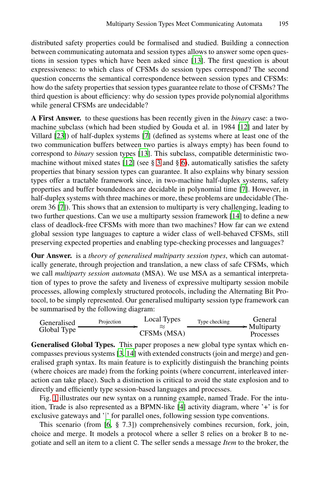distributed safety properties could be formalised and studied. Building a connection between communicating automata and session types allows to answer some open questions in session types which have been asked si[nce](#page-19-9) [13]. The first question is about expressiveness: t[o](#page-19-10) which class of CFSMs do session types correspond? The second question concerns the semantical correspondence between session types and CFSMs: how do the safe[ty](#page-19-11) [p](#page-19-11)roperties that session types guarantee relate to those of CFSMs? The third quest[ion](#page-19-9) is abo[ut](#page-7-0) [e](#page-7-0)fficie[ncy](#page-17-0): why do session types provide polynomial algorithms while general CFSMs are undecidable?

**A First Answer.** to these questions has been rec[en](#page-19-10)tly given in the *binary* case: a twomachine subclass (which had been studied by Gouda et al. in 1984 [12] and later by Villard [23]) of half-duplex systems [7] (defined as systems where at least one of the two communication buffers between two part[ies](#page-19-0) is always empty) has been found to correspond to *binary* session types [13]. This subclass, compatible deterministic twomachine without mixed states [12] (see  $\S$  3 and  $\S$  6), automatically satisfies the safety properties that binary session types can guarantee. It also explains why binary session types offer a tractable framework since, in two-machine half-duplex systems, safety properties and buffer boundedness are decidable in polynomial time [7]. However, in half-duplex systems with three machines or more, these problems are undecidable (Theorem 36 [7]). This shows that an extension to multiparty is very challenging, leading to two further questions. Can we use a multiparty session framework [14] to define a new class of deadlock-free CFSMs with more than two machines? How far can we extend global session type languages to capture a wider class of well-behaved CFSMs, still preserving expected properties and enabling type-checking processes and languages?

**Our Answer.** is a *theory of generalised multiparty session types*, which can automatically generate, through projection and translation, a new class of safe CFSMs, which we call *multiparty session automata* (MSA). We use MSA as a semantical interpretation of t[yp](#page-19-12)[es t](#page-19-0)o prove the safety and liveness of expressive multiparty session mobile processes, allowing complexly structured protocols, including the Alternating Bit Protocol, to be simply represented. Our generalised multiparty session type framework can be summarised by the following diagram:

| Generalised | Projection | Local Types | Type checking | General<br>$\rightarrow$ Multiparty |
|-------------|------------|-------------|---------------|-------------------------------------|
| Global Type |            | CFSMs (MSA) |               | Processes                           |

**Generalised Global Types.** [T](#page-19-13)his paper proposes a new global type syntax which encom[pa](#page-19-14)sses previous systems [3, 14] with extended constructs (join and merge) and generalised graph syntax. Its main feature is to explicitly distinguish the branching points (where choices are made) from the forking points (where concurrent, interleaved interaction can take place). Such a distinction is critical to avoid the state explosion and to directly and efficiently type session-based languages and processes.

Fig. 1 illustrates our new syntax on a running example, named Trade. For the intuition, Trade is also represented as a BPMN-like [4] activity diagram, where '+' is for exclusive gateways and '|' for parallel ones, following session type conventions.

This scenario (from [6, § 7.3]) comprehensively combines recursion, fork, join, choice and merge. It models a protocol where a seller S relies on a broker B to negotiate and sell an item to a client C. The seller sends a message *Item* to the broker, the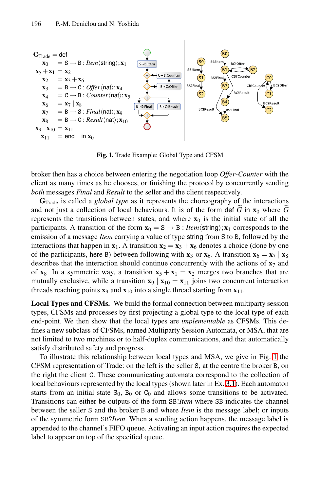<span id="page-2-0"></span>

**Fig. 1.** Trade Example: Global Type and CFSM

broker then has a choice between entering the negotiation loop *Offer*-*Counter* with the client as many times as he chooses, or finishing the protocol by concurrently sending *both* messages *Final* and *Result* to the seller and the client respectively. broker then has a choice between entering the negotiation loop *Offer-Counter* with the client as many times as he chooses, or finishing the protocol by concurrently sending *both* messages *Final* and *Result* to the sel

**G**Trade is called a *global type* as it represents the choreography of the interactions represents the transitions between states, and where  $\mathbf{x}_0$  is the initial state of all the participants. A transition of the form  $\mathbf{x}_0 = \mathbf{S} \rightarrow \mathbf{B}$ : *Item* $\langle$ string);  $\mathbf{x}_1$  corresponds to the emission of a message *Item* carrying a value of type string from S to B, followed by the interactions that happen in  $\mathbf{x}_1$ . A transition  $\mathbf{x}_2 = \mathbf{x}_3 + \mathbf{x}_6$  denotes a choice (done by one of the participants, here B) between following with **x**<sub>3</sub> or **x**<sub>6</sub>. A transition  $\mathbf{x}_6 = \mathbf{x}_7 \mid \mathbf{x}_8$ describes that the interaction should continue concurrently with the actions of  $\mathbf{x}_7$  and of **x**<sub>8</sub>. In a symmetric way, a transition  $x_5 + x_1 = x_2$  merges two branches that are mutually exclusive, while a transition  $\mathbf{x}_9 | \mathbf{x}_{10} = \mathbf{x}_{11}$  joins two concurrent interaction threads reachi[ng](#page-2-0) points  $\mathbf{x}_9$  and  $\mathbf{x}_{10}$  into a single thread starting from  $\mathbf{x}_{11}$ .

**Local Types and CFSMs.** We build the formal connection between multiparty session types, CFSMs and processes by first project[ing](#page-4-0) a global type to the local type of each end-point. We then show that the local types are *implementable* as CFSMs. This defines a new subclass of CFSMs, named Multiparty Session Automata, or MSA, that are not limited to two machines or to half-duplex communications, and that automatically satisfy distributed safety and progress.

To illustrate this relationship between local types and MSA, we give in Fig. 1 the CFSM representation of Trade: on the left is the seller S, at the centre the broker B, on the right the client C. These communicating automata correspond to the collection of local behaviours represented by the local types (shown later in Ex. 3.1). Each automaton starts from an initial state  $S_0$ ,  $B_0$  or  $C_0$  and allows some transitions to be activated. Transitions can either be outputs of the form SB!*Item* where SB indicates the channel between the seller S and the broker B and where *Item* is the message label; or inputs of the symmetric form SB?*Item*. When a sending action happens, the message label is appended to the channel's FIFO queue. Activating an input action requires the expected label to appear on top of the specified queue.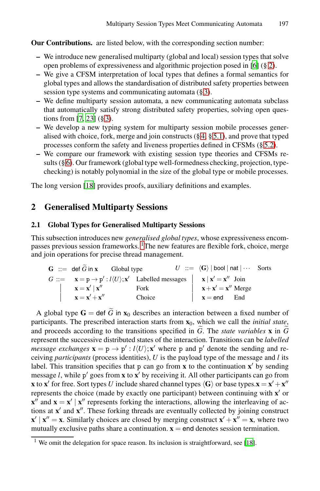**[O](#page-19-15)ur Contributions.** are listed below, with the corresponding section number:

- **–** [W](#page-7-0)e introduce new generalised multiparty (global and local) session types that solve open problems of expressivenes[s a](#page-11-0)n[d alg](#page-14-0)orithmic projection posed in [6] (§ 2).
- **–** We give a CFSM interpretation of local types that d[efine](#page-15-0)s a formal semantics for global types and allows the standardisation of distributed safety properties between session type systems and communicating automata (§ 3).
- **–** We define multiparty session automata, a new communicating automata subclass that automatically satisfy strong distributed safety properties, solving open questions from [7, 23] (§ 3).
- **–** We develop a new typing system for multiparty session mobile processes generalised with choice, fork, merge and join constructs  $(\xi 4, \xi 5.1)$ , and prove that typed processes conform the safety and liveness properties defined in CFSMs (§ 5.2).
- **–** We compare our framework with existing session type theories and CFSMs results  $(\S 6)$ . Our framework (global type well-formedness checking, projection, typechecking) i[s n](#page-3-0)otably polynomial in the size of the global type or mobile processes.

The long version [18] provides proofs, auxiliary definitions and examples.

# **2 Generalised Multiparty Sessions**

### **2.1 Global Types for Generalised Multiparty Sessions**

This subsection introduces new *generalised global types*, whose expressiveness encompasses previous session frameworks. 1The new features are flexible fork, choice, merge and join operations for precise thread management. subsection int<br>s previous ses<br>in operations<br>**G** ::= def  $\tilde{G}$ 

| $G$ : = def $\tilde{G}$ in x Global type                                                           |                                                                                                                                                              | $U ::= \langle G \rangle$   bool   nat   $\cdots$ Sorts |  |
|----------------------------------------------------------------------------------------------------|--------------------------------------------------------------------------------------------------------------------------------------------------------------|---------------------------------------------------------|--|
|                                                                                                    | $G ::= \mathbf{x} = \mathbf{p} \rightarrow \mathbf{p}' : l\langle U \rangle; \mathbf{x}'$ Labelled messages $\ \mathbf{x}\  \mathbf{x}' = \mathbf{x}''$ Join |                                                         |  |
| $\mathbf{x} = \mathbf{x}'   \mathbf{x}''$ Fork<br>$\mathbf{x} = \mathbf{x}' + \mathbf{x}''$ Choice |                                                                                                                                                              | $\mathbf{x} + \mathbf{x}' = \mathbf{x}''$ Merge         |  |
|                                                                                                    |                                                                                                                                                              | $\mathbf{x} = \mathbf{end}$ End                         |  |
|                                                                                                    | A global type $G =$ def G in $x_0$ describes an interaction between a fixed number of                                                                        |                                                         |  |

participants. The prescribed interaction starts from **x**0, which we call the *initial state*, **a**  $\mathbf{x} = \mathbf{x}' | \mathbf{x}''$  Fork  $\mathbf{x} = \mathbf{x}' + \mathbf{x}''$  Choice  $\mathbf{x} = \mathbf{end}$  End<br>
A global type  $\mathbf{G} = \mathbf{def} \ \tilde{G}$  in  $\mathbf{x}_0$  describes an interaction between a fixed number of participants. The prescribed interaction st and proceeds according to the transitions specified in  $\tilde{G}$ . The state variables **x** in  $\tilde{G}$ represent the successive distributed states of the interaction. Transitions can be *labelled message exchanges*  $\mathbf{x} = \mathbf{p} \rightarrow \mathbf{p}'$ :  $l(U); \mathbf{x}'$  where p and  $\mathbf{p}'$  denote the sending and receiving *participants* (process identities), *U* is the payload type of the message and *l* its label. This transition specifies that  $p$  can go from  $x$  to the continuation  $x'$  by sending message  $l$ , while  $p'$  goes from  $x$  to  $x'$  by receiving i[t. A](#page-19-16)ll other participants can go from **x** to **x**<sup> $\prime$ </sup> for free. Sort types *U* include shared channel types  $\langle G \rangle$  or base types.**x** = **x**<sup> $\prime$ </sup> + **x**<sup> $\prime\prime$ </sup> represents the choice (made by exactly one participant) between continuing with  $\mathbf{x}'$  or  $\mathbf{x}''$  and  $\mathbf{x} = \mathbf{x}' | \mathbf{x}''$  represents forking the interactions, allowing the interleaving of actions at  $\mathbf{x}'$  and  $\mathbf{x}''$ . These forking threads are eventually collected by joining construct  $\mathbf{x}' | \mathbf{x}'' = \mathbf{x}$ . Similarly choices are closed by merging construct  $\mathbf{x}' + \mathbf{x}'' = \mathbf{x}$ , where two mutually exclusive paths share a continuation.  $\mathbf{x} = \mathbf{end}$  denotes session termination.

<span id="page-3-0"></span><sup>&</sup>lt;sup>1</sup> We omit the delegation for space reason. Its inclusion is straightforward, see [18].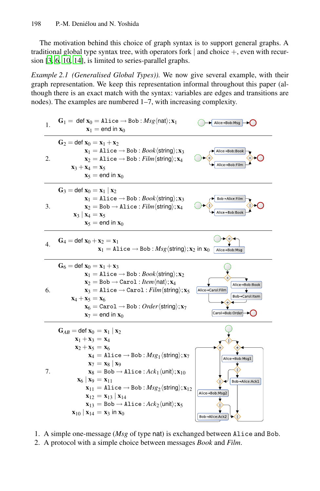<span id="page-4-0"></span>The motivation behind this choice of graph syntax is to support general graphs. A traditional global type syntax tree, with operators fork  $|$  and choice  $+$ , even with recursion [3, 6, 10, 14], is limited to series-parallel graphs.

*Example 2.1 (Generalised Global Types)).* We now give several example, with their graph representation. We keep this representation informal throughout this paper (although there is an exact match with the syntax: variables are edges and transitions are nodes). The examples are numbered 1–7, with increasing complexity.



- 1. A simple one-message (*Msg* of type nat) is exchanged between Alice and Bob.
- 2. A protocol with a simple choice between messages *Book* and *Film*.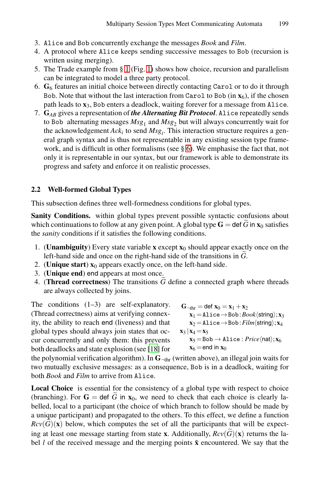- 3. Alice and Bob concurrently exchange the messages *Book* and *Film*.
- 4. A protocol where Alice keeps sending successive messages to Bob (recursion is written using merging).
- 5. The Trade example from § 1 (Fig. 1) shows how choice, recursion and parallelism can be integrated to model [a](#page-17-0) three party protocol.
- 6. **G**<sup>6</sup> features an initial choice between directly contacting Carol or to do it through Bob. Note that without the last interaction from Carol to Bob (in  $\mathbf{x}_6$ ), if the chosen path leads to **x**3, Bob enters a deadlock, waiting forever for a message from Alice.
- 7. **G***AB* gives a representation of *the Alternating Bit Protocol*. Alice repeatedly sends to Bob alternating messages *Msg*<sup>1</sup> and *Msg*<sup>2</sup> but will always concurrently wait for the acknowledgement *Acki* to send *Msgi*. This interaction structure requires a general graph syntax and is thus not representable in any existing session type framework, and is difficult in other formalisms (see § 6). We emphasise the fact that, not only it is representable in our syntax, but our framework is able to demonstrate its progress and safety and enforce it on realistic processes.

### **2.2 Well-formed Global Types**

This subsection defines three well-formedness conditions for global types.

**Sanity Conditions.** within global types prevent possible syntactic confusions about **2.2 Well-formed Global Types**<br>This subsection defines three well-formedness conditions for global types.<br>**Sanity Conditions.** within global types prevent possible syntactic confusions about<br>which continuations to follow the *sanity* conditions if it satisfies the following conditions. **ity Conditions.** within global types prevent possible syntactic contributions to follow at any given point. A global type  $G = \det \hat{C}$  canity conditions if it satisfies the following conditions.<br>(**Unambiguity**) Every stat

- 1. (**Unambiguity**) Every state variable **x** except **x**<sup>0</sup> should appear exactly once on the left-hand side and once on the right-hand side of the transitions in G. 1. (**Unambiguity**) Every state variable **x** ex<br>left-hand side and once on the right-hand<br>2. (**Unique start**)  $\mathbf{x}_0$  appears exactly once, of<br>3. (**Unique end**) end appears at most once.<br>4. (**Thread corr[ectn](#page-19-16)ess**) The tran
- 2. (**Unique start**)  $\mathbf{x}_0$  appears exactly once, on the left-hand side.
- 3. (**Unique end**) end appears at most once.
- 4. (Thread correctness) The transitions  $\tilde{G}$  define a connected graph where threads are always collected by joins.

The conditions  $(1-3)$  are self-explanatory. (Thread correctness) aims at verifying connexity, the ability to reach end (liveness) and that global types should always join states that occur concurrently and only them: this prevents both deadlocks and state explosion (see [18] for

 $G_{\neg \text{thr}} = \det x_0 = x_1 + x_2$  $\mathbf{x}_1 =$ **Alice**  $\rightarrow$  Bob: *Book* $\langle$ string $\rangle$ ;  $\mathbf{x}_3$  $\mathbf{x}_2 =$ Alice  $\rightarrow$  Bob: *Film* $\langle$ string $\rangle$ ;  $\mathbf{x}_4$ **x**<sub>3</sub> | **x**<sub>4</sub> = **x**<sub>5</sub>

 $\mathbf{x}_5 = \text{Bob} \rightarrow \text{Alice}$ : *Price* $\langle \text{nat} \rangle$ ;  $\mathbf{x}_6$  $\mathbf{x}_6 =$ end in  $\mathbf{x}_0$ 

the polynomial verification algorithm). In  $\mathbf{G}_{\text{thr}}$  (written above), an illegal join waits for two mutually exclusive messages: as a consequence, Bob is in a deadlock, waiting for both *Book* and *Film* to arrive fr two mutually exclusive messages: as a consequence, Bob is in a deadlock, waiting for both *Book* and *Film* to arrive from Alice.

Local Choice is essential for the consistency of a global type with respect to choice (branching). For  $G =$  def G in  $x_0$ , we need to check that each choice is clearly labelled, local to a participant (the choice of which branch to follow should be made by a unique participant) and propagated to the others. To this effect, we define a function *Local*<br>(branc<br>belled,<br>a unique  $Rcv(G)(x)$  below, which computes the set of all the participants that will be expect-**Local Choice** is essential for the consistency of a global type with respect to choice (branching). For **G** = def  $\tilde{G}$  in  $\mathbf{x}_0$ , we need to check that each choice is clearly labelled, local to a participant (the c bel  $l$  of the received message and the merging points  $\tilde{\mathbf{x}}$  encountered. We say that the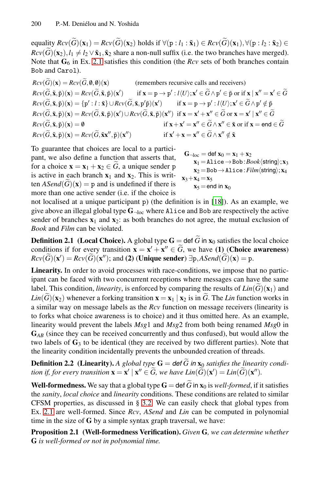200 P.-M. Deniélou and N. Yoshida<br>
equality  $Rcv(\tilde{G})(\mathbf{x}_1) = Rcv(\tilde{G})(\mathbf{x}_2)$  holds if ∀(p : *l*<sub>1</sub> :  $\tilde{\mathbf{x}}_1) \in Rcv(\tilde{G})(\mathbf{x}_1), \forall (p : l_2 : \tilde{\mathbf{x}}_2) \in$ *Rcv*(*G*- $(x_2), l_1 \neq l_2 \vee \tilde{\mathbf{x}}_1, \tilde{\mathbf{x}}_2$  share a non-null suffix (i.e. the two branches have merged). Note that  $G_6$  in Ex. 2.1 satisfies this condition (the *Rcv* sets of both branches contain Bob and Carol). *Rcv*( $\widetilde{G}$ )( $\mathbf{x}_2$ ),  $l_1 \neq l_2$ <br> *Rcv*( $\widetilde{G}$ )( $\mathbf{x}_2$ ),  $l_1 \neq l_2$ <br> *Rob* and Carol).<br> *Rcv*( $\widetilde{G}$ )( $\mathbf{x}$ ) = *Rcv*( $\widetilde{G}$ *Rcv*(*G*)(**x**<sub>2</sub>),  $t_1 \neq t_2 \vee \mathbf{x}_1$ ,  $\mathbf{x}_2$  share a non-null sullix (i.e. the two branches have merged)<br>
Note that  $\mathbf{G}_6$  in Ex. 2.1 satisfies this condition (the *Rcv* sets of both branches contair<br> *Rcv*( $\widetilde$ 

 $Rcv(\tilde{G})(\mathbf{x}) = Rcv(\tilde{G}, \emptyset, \emptyset)(\mathbf{x})$  (remembers recursive calls and receivers)  $Rcv(\widetilde{G}, \widetilde{\mathbf{x}}, \widetilde{\mathbf{p}})(\mathbf{x}) = Rcv(\widetilde{G}, \widetilde{\mathbf{x}}, \widetilde{\mathbf{p}})(\mathbf{x}')$ if  $\mathbf{x} = \mathbf{p} \rightarrow \mathbf{p}' : l \langle U \rangle; \mathbf{x}' \in \widetilde{G} \wedge \mathbf{p}' \in \widetilde{\mathbf{p}}$  or if  $\mathbf{x} | \mathbf{x}'' = \mathbf{x}' \in \widetilde{G}$ *Rcv*( $\widetilde{G}$ )( $\mathbf{x}$ ) =  $Rcv(\widetilde{G}, \mathbf{0}, \mathbf{0})(\mathbf{x})$  (remembers recursive calls and receivers)<br>  $Rcv(\widetilde{G}, \widetilde{\mathbf{x}}, \widetilde{\mathbf{p}})(\mathbf{x}) = Rcv(\widetilde{G}, \widetilde{\mathbf{x}}, \widetilde{\mathbf{p}})(\mathbf{x}')$  if  $\mathbf{x} = \mathbf{p} \to \mathbf{p}' : l\langle U \rangle; \mathbf{x}' \in \widetilde{G} \wedge$ *Rcv*( $\widetilde{G}$ )( $\mathbf{x}$ ) = *Rcv*( $\widetilde{G}$ , $\boldsymbol{\varnothing}$ , $\boldsymbol{\varnothing}$ )( $\mathbf{x}$ ) (remembers recursive calls and receivers)<br> *Rcv*( $\widetilde{G}$ , $\tilde{\mathbf{x}}$ , $\tilde{\mathbf{p}}$ )( $\mathbf{x}$ ) = *Rcv*( $\widetilde{G}$ , $\tilde{\mathbf{x}}$ , $\tilde{\mathbf{p}}$ )( $\mathbf{x}'$ ) if  $(\tilde{\mathbf{x}}, \tilde{\mathbf{p}})(\mathbf{x}') \cup Rev(\tilde{G}, \tilde{\mathbf{x}}, \tilde{\mathbf{p}})(\mathbf{x}'') \text{ if } \mathbf{x} = \mathbf{x}' + \mathbf{x}'' \in \tilde{G} \text{ or } \mathbf{x} = \mathbf{x}' | \mathbf{x}'' \in \tilde{G}$ *Rcv*( $\tilde{G}$ ,  $\tilde{\mathbf{x}}$ ,  $\tilde{p}$ )( $\mathbf{x}$ ) = *Rcv*( $\tilde{G}$ ,  $\tilde{\mathbf{x}}$ ,  $\tilde{p}$ )( $\mathbf{x}'$ ) = *Rcv*( $\tilde{G}$ ,  $\tilde{\mathbf{x}}$ ,  $\tilde{p}$ )( $\mathbf{x}'$ ) if  $\mathbf{x} = \mathbf{p} \rightarrow \mathbf{p}' : l(\mathcal{U}); \mathbf{x}' \in \tilde{G}$ .<br> *Rcv*( $\tilde{G}$ ,  $\tilde{\mathbf{x}}$ ,  $\wedge$ **p'** ∈ **p**̃ or if **x** | **x''** = **x'** ∈ *i*<br>: *l*(*U*); **x'** ∈  $\widetilde{G} \wedge$ **p'** ∉  $\widetilde{p}$ <br>∈  $\widetilde{G}$  or **x** = **x'** | **x''** ∈  $\widetilde{G}$ <br> $\wedge$ **x''** ∈  $\widetilde{\mathbf{x}}$  or if **x** = end ∈  $\widetilde{G}$  $Rcv(\tilde{G}, \tilde{\mathbf{x}}, \tilde{\mathbf{p}})(\mathbf{x}) = Rcv(\tilde{G}, \tilde{\mathbf{x}}, \tilde{\mathbf{p}})(\mathbf{x}')$  if  $\mathbf{x} = \mathbf{p} \rightarrow \mathbf{p}'$ <br>  $Rcv(\tilde{G}, \tilde{\mathbf{x}}, \tilde{\mathbf{p}})(\mathbf{x}) = \{ \mathbf{p}' : l : \tilde{\mathbf{x}} \} \cup Rcv(\tilde{G}, \tilde{\mathbf{x}}, \mathbf{p}'\tilde{\mathbf{p}})(\mathbf{x}')$  if  $\mathbf{x} = \mathbf{p} \rightarrow \mathbf{p}'$ <br>  $Rcv(\tilde$ **if**  $\mathbf{x}' + \mathbf{x} = \mathbf{x}''$  ∈  $\widetilde{G} \wedge \mathbf{x}''$  ∉  $\widetilde{\mathbf{x}}$ 

<span id="page-6-0"></span>To guarantee that choices are local to a participant, we also define a function that asserts that,  $Rcv(\tilde{G}, \tilde{\mathbf{x}}, \tilde{\mathbf{p}})(\mathbf{x}) = \emptyset$  if  $\mathbf{x}$ -<br>  $Rcv(\tilde{G}, \tilde{\mathbf{x}}, \tilde{\mathbf{p}})(\mathbf{x}) = Rcv(\tilde{G}, \tilde{\mathbf{x}}\mathbf{x}'', \tilde{\mathbf{p}})(\mathbf{x}'')$  if  $\mathbf{x}'$ <br>
To guarantee that choices are local to a partici-<br>
pant, we also define a function th is active in each branch  $\mathbf{x}_1$  and  $\mathbf{x}_2$ . This is writ-To guarantee<br>pant, we also<br>for a choice<br>is active in e<br>ten  $ASend(\widetilde{G}$ ten  $ASend(G)(\mathbf{x}) = \mathbf{p}$  and is undefined if there is more than one active sender (i.e. if the choice is

 $G_{\neg loc} = \det x_0 = x_1 + x_2$  $\mathbf{x}_1 =$ **Alice**  $\rightarrow$  Bob: *Book* $\langle$ string $\rangle$ ;  $\mathbf{x}_3$  $\mathbf{x}_2 = \text{Bob} \rightarrow \text{Alice}$ : *Film* $\langle$ string $\rangle$ ;  $\mathbf{x}_4$  $x_3 + x_4 = x_5$  $\mathbf{x}_5 =$ end in  $\mathbf{x}_0$ 

not localised at a unique participant p) (the definition is in [18]). As an example, we give above an illegal global type  $G_{\text{-loc}}$  where Alice and Bob are respectively the active sender of branches  $\mathbf{x}_1$  and  $\mathbf{x}_2$ : as both branches do not agree, the mutual exclusion of *Book* and *Film* can be violated. not localised at a unique participant p) (the definition is<br>give above an illegal global type  $G_{-\text{loc}}$  where Alice and<br>sender of branches  $x_1$  and  $x_2$ : as both branches do not a<br>*Book* and *Film* can be violated.<br>**Def** reverted as a single participant p) (are definited to in  $\{x_9\}$ ). The air example, we<br>give above an illegal global type  $G_{-\text{loc}}$  where A1ice and Bob are respectively the active<br>sender of branches  $x_1$  and  $x_2$ : as b

**Definition 2.1** (Local Choice). A global type  $G = \text{def } \widetilde{G}$  in  $x_0$  satisfies the local choice *Repose to an inegary gives any performation in the sender* of branches  $\mathbf{x}_1$  and  $\mathbf{x}_2$ ; as both branches do not agree, the *Book* and *Film* can be violated.<br>**Definition 2.1** (**Local Choice**). A global type  $\mathbf{G}$  $\widetilde{D}(\mathbf{x}') = Rcv(\widetilde{G})(\mathbf{x}'')$ ; and (2) (Unique sender)  $\exists p, ASend(\widetilde{G})(\mathbf{x}) = p$ .

**Linearity.** In order to avoid processes with race-conditions, we impose that no participant can be faced with two concurrent receptions where messages can have the same conditions if for every transition  $\mathbf{x} = \mathbf{x}' + \mathbf{x}'' \in \tilde{G}$ , we have (1) (Choice av  $Rcv(\tilde{G})(\mathbf{x}') = Rcv(\tilde{G})(\mathbf{x}'')$ ; and (2) (Unique sender)  $\exists p$ ,  $ASend(\tilde{G})(\mathbf{x}) = p$ .<br>Linearity. In order to avoid processes with race-co label. This condition, *linearity*, is enforced by comparing the results of  $Lin(G)(x_1)$  and  $Rcv(\tilde{G})(\mathbf{x}') = Rcv(\tilde{G})(\mathbf{x}'')$ ; and (2) (Unique sender)  $\exists p, AS$ <br> **Linearity.** In order to avoid processes with race-conditions<br>
ipant can be faced with two concurrent receptions where m<br>
label. This condition, *linearity*  $Lin(\tilde{G})(\mathbf{x}_2)$  whenever a forking transition  $\mathbf{x} = \mathbf{x}_1 | \mathbf{x}_2$  is in  $\tilde{G}$ . The Lin function works in a similar way on message labels as the *Rcv* function on message receivers (linearity is to forks what choice awareness is to choice) and it thus omitted here. As an example, linearity would prevent the labels *Msg*1 and *Msg*2 from both being renamed *Msg*0 in  $G_{AB}$  (since they [can](#page-8-0) be received concurrently and thus confused), but would allow the two labels of **G**<sup>3</sup> to be identical (they are received by two different parties). Note that the linearity condition incidentally prevents the unbounded creation of threads. linearity would prevent the labels  $Msg1$  and  $Msg2$  from both being renamed  $Msg0$  in  $G_{AB}$  (since they can be received concurrently and thus confused), but would allow the two labels of  $G_3$  to be identical (they are rec *the integral is the sect of*  $G_3$  *to be identical (they are received by two different partition incidentally prevents the unbounded creation of the linearity condition incidentally prevents the unbounded creation of the* 

 $E_j(\mathbf{x}') = Lin(\widetilde{G})(\mathbf{x}'').$ two labels of  $G_3$  to be identical (they are received by<br>the linearity condition incidentally prevents the unbou<br>**Definition 2.2** (Linearity). A global type  $G = def \tilde{G}$ <br>tion if, for every transition  $\mathbf{x} = \mathbf{x}' | \mathbf{x}'' \in$ 

**Well-formedness.** We say that a global type  $G = \text{def } \widetilde{G}$  in  $x_0$  is *well-formed*, if it satisfies the *sanity*, *local choice* and *linearity* conditions. These conditions are related to similar CFSM properties, as discussed in § 3.2. We can easily check that global types from Ex. 2.1 are well-formed. Since *Rcv*, *ASend* and *Lin* can be computed in polynomial time in the size of **G** by a simple syntax graph traversal, we have:

**Proposition 2.1 (Well-formedness Verification).** *Given* **G***, we can determine whether* **G** *is well-formed or not in polynomial time.*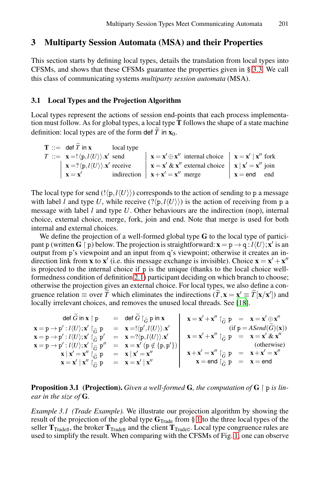# <span id="page-7-0"></span>**3 Multiparty Session Automata (MSA) and their Properties**

This section starts by defining local types, details the translation from local types into CFSMs, and shows that these CFSMs guarantee the properties given in § 3.3. We call this class of communicating systems *multiparty session automata* (MSA).

### **3.1 Local Types and the Projection Algorithm**

Local types represent the actions of session end-points that each process implementation must follow. As for global types, a local type **T** follows the shape of a state machine **3.1** Local Types and the Projection Alg<br>Local types represent the actions of session<br>tion must follow. As for global types, a loca<br>definition: local types are of the form def  $\tilde{T}$ definition: local types are of the form def  $\widetilde{T}$  in  $\mathbf{x}_0$ . al types repr<br>must follow.<br>ition: local<br>**T** ::= def  $\tilde{T}$ 

| $\mathbf{T} ::= \text{def } T \text{ in } \mathbf{x}$ local type                       |                                                                                                                               |                                 |
|----------------------------------------------------------------------------------------|-------------------------------------------------------------------------------------------------------------------------------|---------------------------------|
| $T ::= \mathbf{x} = !\langle \mathbf{p}, l \langle U \rangle \rangle \mathbf{x}'$ send | $\vert \mathbf{x} = \mathbf{x}' \oplus \mathbf{x}''$ internal choice $\vert \mathbf{x} = \mathbf{x}' \vert \mathbf{x}''$ fork |                                 |
| $\mathbf{x} = ?\langle \mathbf{p}, l \langle U \rangle \rangle \mathbf{x}'$ receive    | $\mathbf{x} = \mathbf{x}' \& \mathbf{x}''$ external choice $\mathbf{x} \mid \mathbf{x}' = \mathbf{x}''$ join                  |                                 |
| $\mathbf{x} = \mathbf{x}'$                                                             | indirection $\mathbf{x} + \mathbf{x}' = \mathbf{x}''$ merge                                                                   | $\mathbf{x} = \mathbf{end}$ and |

The local type for send  $\langle \cdot | p_l \cdot l \langle U \rangle \rangle$  corresponds to the action of sending to p a message with label *l* and type *U*, while receive  $(?\langle p, l \langle U \rangle \rangle)$  is the action of receiving from p a message wit[h](#page-6-0) [lab](#page-6-0)el *l* and type *U*. Other behaviours are the indirection (nop), internal choice, external choice, merge, fork, join and end. Note that merge is used for both internal and external choices.

We define the projection of a well-formed glo[bal](#page-19-16) type **G** to the local type of participant p (written  $G \restriction p$ ) below. The projection is straightforward:  $\mathbf{x} = \mathrm{p} \to \mathrm{q}: l \langle U \rangle; \mathbf{x}'$  is an output from p's viewpoint and an input from q's viewpoint; otherwise it creates an indirection link from **x** to **x**<sup> $\prime$ </sup> (i.e. this message exchange is invisible). Choice  $\mathbf{x} = \mathbf{x}' + \mathbf{x}''$ is projected to the internal choice if p is the unique (thanks to the local choice wellformedness condition of definition 2.1) participant deciding on which branch to choose; otherwise the projection gives an external choice. For local types, we also define a conoutput from p's viewpoint and an input from q's viewpoint; otherwise it credirection link from **x** to **x'** (i.e. this message exchange is invisible). Choice is projected to the internal choice if p is the unique (thanks t [**x**/**x** ]) and locally irrelevant choices, and removes the unused local threads. See [18]. definition 2.1) particles projection gives an external characterization  $\equiv$  over  $\tilde{T}$  which eliminates elevant choices, and removes the undeformation  $\vec{G}$  in  $\bf{x}$  |  $\bf{p}$  = def  $\tilde{G}$  |  $\tilde{G}$  **p** in  $\bf{x}$ *G*-*G*- $= \mathbf{x}' \equiv \tilde{T}[\mathbf{x}/\mathbf{x}']$  and<br>  $= \mathbf{x}' \equiv \tilde{T}[\mathbf{x}/\mathbf{x}']$  and<br>  $= \mathbf{x} = \mathbf{x}' \oplus \mathbf{x}''$ <br>
(if  $\mathbf{p} = ASend(\tilde{G})(\mathbf{x})$ )

 $\mathbf{x} = \mathbf{p} \rightarrow \mathbf{p}' : l \langle U \rangle; \mathbf{x}' \upharpoonright_{\widetilde{G}} \mathbf{p} \quad = \quad \mathbf{x} = ! \langle \mathbf{p}', l \langle U \rangle \rangle. \mathbf{x}'$ *G*- $\mathbf{x} = \mathbf{p} \rightarrow \mathbf{p}' : l \langle U \rangle; \mathbf{x}' \restriction_{\widetilde{G}}^{\sim} \mathbf{p}' \quad = \quad \mathbf{x} = ?\langle \mathbf{p}, l \langle U \rangle \rangle. \mathbf{x}'$  $\begin{bmatrix} \mathbf{F} \\ \tilde{G} \end{bmatrix}$  $\mathbf{x} = \mathbf{p} \rightarrow \mathbf{p}' : l \langle U \rangle; \mathbf{x}' \upharpoonright_{\widetilde{G}}^{\sim} \mathbf{p}'' = \mathbf{x} = \mathbf{x}' \; (\mathbf{p} \notin \{ \mathbf{p}, \mathbf{p}' \})$ **F**<br> $\tilde{G}$ <br> $\tilde{G}$ <br> $\tilde{G}$  $\mathbf{x} \mid \mathbf{x}' = \mathbf{x}'' \restriction_{\widetilde{G}} \mathbf{p} = \mathbf{x} \mid \mathbf{x}' = \mathbf{x}''$  $\mathbf{x} \mid \mathbf{x}' = \mathbf{x}'' \restriction_{\widetilde{G}} \mathbf{p} = \mathbf{x} \mid \mathbf{x}' = \mathbf{x}''$  $\mathbf{x} \mid \mathbf{x}' = \mathbf{x}'' \restriction_{\widetilde{G}} \mathbf{p} = \mathbf{x} \mid \mathbf{x}' = \mathbf{x}''$  $\begin{bmatrix} \widetilde{G} & \widetilde{G} \ \widetilde{G} & \widetilde{G} \end{bmatrix}$  $\mathbf{x} = \mathbf{x}' \mid \mathbf{x}'' \mid \stackrel{\sim}{\widetilde{\sigma}} \mathbf{p} = \mathbf{x} = \mathbf{x}' \mid \mathbf{x}''$  $\begin{bmatrix} \widetilde{G} & \widetilde{G} \ \widetilde{G} & \widetilde{G} \end{bmatrix}$  $\mathbf{x} = \mathbf{x}' + \mathbf{x}''$   $\upharpoonright_{\widetilde{G}} \mathbf{p} = \mathbf{x} = \mathbf{x}' \oplus \mathbf{x}''$  $\mathbf{x} = \mathbf{x}' + \mathbf{x}''$   $\upharpoonright_{\widetilde{G}} \mathbf{p} = \mathbf{x} = \mathbf{x}' \& \mathbf{x}''$  $\begin{bmatrix} \hat{G} \ \hat{G} \end{bmatrix}$ (otherwise)  $\mathbf{x} + \mathbf{x}' = \mathbf{x}''$   $\upharpoonright_{\widetilde{G}} \mathbf{p} = \mathbf{x} + \mathbf{x}' = \mathbf{x}''$ *G*- $\mathbf{x} =$  end  $\restriction_{\widetilde{G}} \mathbf{p} = \mathbf{x} =$  end  $\begin{bmatrix} \widehat{G} & \widehat{G} \ \widehat{G} & \widehat{G} \end{bmatrix}$ 

### **Proposition 3.1** (Projection). *Given a well-formed* G, the computation of G  $\restriction$  p is lin*ear in the size of* **G***.*

*Example 3.1 (Trade Example).* We illustrate our projection algorithm by showing the result of the projection of the global type **G**Trade from § 1 to the three local types of the seller  $T_{\text{TradeS}}$ , the broker  $T_{\text{TradeB}}$  and the client  $T_{\text{TradeC}}$ . Local type congruence rules are used to simplify the result. When comparing with the CFSMs of Fig. 1, one can observe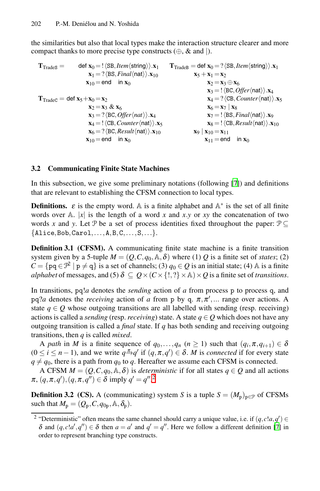the similarities but also that local types make the interaction structure clearer and more compact thanks to more precise type constructs  $(\oplus, \& \text{ and } |)$ .

<span id="page-8-0"></span> $\mathbf{T}_{\text{Trades}} = \text{det } \mathbf{x}_0 = ! \langle \text{SB}, \text{Item} \langle \text{string} \rangle \rangle \cdot \mathbf{x}_1$  $\mathbf{x}_1 = ? \langle \text{BS}, \text{Final}\langle \text{nat} \rangle \rangle \cdot \mathbf{x}_{10}$  $x_{10} =$ end in  $x_0$  $\mathbf{T}_{\text{TradeC}} = \text{def } \mathbf{x}_5 + \mathbf{x}_0 = \mathbf{x}_2$  $x_2 = x_3 \& x_6$  $\mathbf{x}_3 = ? \langle BC, \text{Offer}\langle \text{nat} \rangle \rangle \cdot \mathbf{x}_4$  $\mathbf{x}_4 =$ !  $\langle$ CB, *Counter* $\langle$ nat $\rangle$ ). $\mathbf{x}_5$  $\mathbf{x}_6 = ? \langle BC, Result \langle nat \rangle \rangle \cdot \mathbf{x}_{10}$  $\mathbf{x}_{10}$  = end in  $\mathbf{x}_0$  $\mathbf{T}_{\text{TradeB}} = \text{def } \mathbf{x}_0 = ? \langle \text{SB}, \text{Item} \langle \text{string} \rangle \rangle \langle \mathbf{x}_1 \rangle$  $\mathbf{x}_5 + \mathbf{x}_1 = \mathbf{x}_2$  $\mathbf{x}_2 = \mathbf{x}_3 \oplus \mathbf{x}_6$  $\mathbf{x}_3 =$ !  $\langle BC, \textit{Offer}\langle nat \rangle \rangle \cdot \mathbf{x}_4$  $\mathbf{x}_4 = ? \langle CB, Counter \langle nat \rangle \rangle \mathbf{x}_5$  $\mathbf{x}_6 = \mathbf{x}_7 \mid \mathbf{x}_8$  $\mathbf{x}_7 =$ !  $\langle \text{BS}, \text{Final}\langle \text{nat} \rangle \rangle \cdot \mathbf{x}_9$  $\mathbf{x}_8 =$ !  $\langle$ CB, *Result* $\langle$ nat $\rangle$ ). $\mathbf{x}_{10}$  $\mathbf{x}_9 \mid \mathbf{x}_{10} = \mathbf{x}_{11}$  $\mathbf{x}_{11} = \text{end}$  in  $\mathbf{x}_0$ 

### **3.2 Communicating Finite State Machines**

In this subsection, we give some preliminary notations (following [7]) and definitions that are relevant to establishing the CFSM connection to local types.

**Definitions.**  $\varepsilon$  is the empty word. A is a finite alphabet and  $A^*$  is the set of all finite words over  $\mathbb{A}$ . |*x*| is the length of a word *x* and *x*.*y* or *xy* the concatenation of two words *x* and *y*. Let P be a set of process identities fixed throughout the paper:  $\mathcal{P} \subseteq$  ${Alice, Bob, Carol,...,A,B,C,...,S,...}.$ 

**Definition 3.1 (CFSM).** A communicating finite state machine is a finite transition system given by a 5-tuple  $M = (Q, C, q_0, A, \delta)$  where (1) Q is a finite set of *states*; (2)  $C = \{pq \in \mathcal{P}^2 \mid p \neq q\}$  is a set of channels; (3)  $q_0 \in Q$  is an initial state; (4) A is a finite *alphabet* of messages, and (5)  $\delta \subseteq Q \times (C \times \{!,\} \times A) \times Q$  is a finite set of *transitions*.

In transitions, pq!*a* denotes the *sending* action of *a* from process p to process q, and pq?*a* denotes the *receiving* action of *a* from p by q.  $\pi, \pi', ...$  range over actions. A state  $q \in Q$  whose [ou](#page-8-1)tgoing transitions are all labelled with sending (resp. receiving) actions is called a *sending* (resp. *receiving*) state. A state  $q \in Q$  which does not have any outgoing transition is called a *final* state. If *q* has both sending and receiving outgoing transitions, then *q* is called *mixed*.

A *path* in *M* is a finite sequence of  $q_0, \ldots, q_n$  ( $n \ge 1$ ) such that  $(q_i, \pi, q_{i+1}) \in \delta$  $(0 \le i \le n-1)$ , and we write  $q \stackrel{\pi}{\rightarrow} q'$  if  $(q, \pi, q') \in \delta$ . *M* is *connected* if for every state  $q \neq q_0$ , t[h](#page-19-10)ere is a path from  $q_0$  to  $q$ . Hereafter we assume each [C](#page-19-10)FSM is connected.

<span id="page-8-1"></span>A CFSM  $M = (Q, C, q_0, A, \delta)$  is *deterministic* if for all states  $q \in Q$  and all actions  $\pi$ ,  $(q, \pi, q')$ ,  $(q, \pi, q'') \in \delta$  imply  $q' = q''$ .<sup>2</sup>

**Definition 3.2** (CS). A (communicating) system *S* is a tuple  $S = (M_p)_{p \in \mathcal{P}}$  of CFSMs such that  $M_p = (Q_p, C, q_{0p}, A, \delta_p)$ .

<sup>&</sup>lt;sup>2</sup> "Deterministic" often means the same channel should carry a unique value, i.e. if  $(q, c!a, q') \in$ δ and  $(q, c!a', q'') ∈ δ$  then  $a = a'$  and  $q' = q''$ . Here we follow a different definition [7] in order to represent branching type constructs.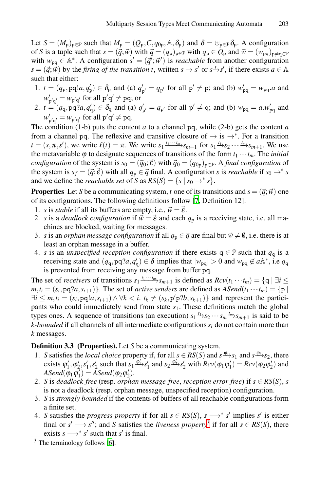Let  $S = (M_p)_{p \in \mathcal{P}}$  such that  $M_p = (Q_p, C, q_{0p}, A, \delta_p)$  and  $\delta = \bigoplus_{p \in \mathcal{P}} \delta_p$ . A configuration of *S* is a tuple such that  $s = (\vec{q}; \vec{w})$  with  $\vec{q} = (q_p)_{p \in \mathcal{P}}$  with  $q_p \in Q_p$  and  $\vec{w} = (w_{pq})_{p \neq q \in \mathcal{P}}$ with  $w_{pq} \in A^*$ . A configuration  $s' = (\vec{q'};\vec{w}')$  is *reachable* from another configuration  $s = (\vec{q}, \vec{w})$  by the *firing of the transition t*, written  $s \to s'$  or  $s \to s'$ , if there exists  $a \in A$ such that either:

- 1.  $t = (q_p, pq!a, q'_p) \in \delta_p$  and (a)  $q'_{p'} = q_{p'}$  for all  $p' \neq p$ ; and (b)  $w'_{pq} = w_{pq}.a$  and  $w'_{p'q'} = w_{p'q'}$  for all  $p'q' \neq pq$ ; or
- 2.  $t = (q_q, pq; q'_q) \in \delta_q$  and (a)  $q'_{p'} = q_{p'}$  for all  $p' \neq q$ ; and (b)  $w_{pq} = a \cdot w'_{pq}$  and  $w'_{p'q'} = w_{p'q'}$  for all  $p'q' \neq pq$ .

The condition  $(1-b)$  puts the cont[en](#page-19-10)t *a* to a channel pq, while  $(2-b)$  gets the content *a* from a channel pq. The reflexive and transitive closure of  $\rightarrow$  is  $\rightarrow^*$ . For a transition  $t = (s, \pi, s')$ , we write  $\ell(t) = \pi$ . We write  $s_1 \frac{t_1 \cdots t_m}{s_{m+1}}$  for  $s_1 \frac{t_1}{s_2} \cdots \frac{t_m}{s_{m+1}}$ . We use the metavariable  $\varphi$  to designate sequences of transitions of the form  $t_1 \cdots t_m$ . The *initial configuration* of the system is  $s_0 = (\vec{q}_0; \vec{\epsilon})$  with  $\vec{q}_0 = (q_{0p})_{p \in \mathcal{P}}$ . A *final configuration* of the system is  $s_f = (\vec{q}; \vec{\epsilon})$  with all  $q_p \in \vec{q}$  final. A configuration *s* is *reachable* if  $s_0 \to s$ and we define the *reachable set* of *S* as  $RS(S) = \{s \mid s_0 \rightarrow^* s\}.$ 

**Properties** Let *S* be a communicating system, *t* one of its transitions and  $s = (\vec{q}; \vec{w})$  one of its configurations. The following definitions follow [7, Definition 12].

- 1. *s* is *stable* if all its buffers are empty, i.e.,  $\vec{w} = \vec{\varepsilon}$ .
- 2. *s* is a *deadlock configuration* if  $\vec{w} = \vec{\varepsilon}$  and each  $q_p$  is a receiving state, i.e. all machines are blocked, waiting for messages.
- 3. *s* is an *orphan message configuration* if all  $q_p \in \vec{q}$  are final but  $\vec{w} \neq \emptyset$ , i.e. there is at least an orphan message in a buffer.
- 4. *s* is an *unspecified reception configuration* if there exists  $q \in \mathcal{P}$  such that  $q_q$  is a receiving state and  $(q_q, pq2a, q'_q) \in \delta$  implies that  $|w_{pq}| > 0$  and  $w_{pq} \notin a\mathbb{A}^*$ , i.e  $q_q$ is prevented from receiving any message from buffer pq.

<span id="page-9-1"></span>The set of *receivers* of transitions  $s_1 \xrightarrow{t_1 \cdots t_m} s_{m+1}$  is defined as  $Rcv(t_1 \cdots t_m) = \{q \mid \exists i \leq n \}$  $m, t_i = (s_i, pq, ?a, s_{i+1})\}$ . The set of *active senders* are defined as  $ASend(t_1 \cdots t_m) = \{p \mid$  $\exists i \leq m, t_i = (s_i, pq!a, s_{i+1}) \land \forall k < i.$   $t_k \neq (s_k, p'p?b, s_{k+1})\}$  and represent the participants who could immediately send from state *s*1. These definitions match the global types ones. A sequence of transitions (an execution)  $s_1 \xrightarrow{t_1} s_2 \cdots s_m \xrightarrow{t_m} s_{m+1}$  is said to be *k-bounded* if all channels of all intermediate configurations *si* do not contain more than *k* messages.

**Definition 3.3 (Properties).** Let *S* be a communicating system.

- 1. *S* satisfies the *local choice* propert[y](#page-9-0) if, for all  $s \in RS(S)$  and  $s \xrightarrow{\phi_1} s_1$  and  $s \xrightarrow{\phi_2} s_2$ , there exists  $\varphi'_1, \varphi'_2, s'_1, s'_2$  such that  $s_1 \frac{\varphi'_1}{s'_1} s'_1$  and  $s_2 \frac{\varphi'_2}{s'_2} s'_2$  with  $Rcv(\varphi_1 \varphi'_1) = Rcv(\varphi_2 \varphi'_2)$  and  $ASend(\varphi_1 \varphi_1') = Asend(\varphi_2 \varphi_2').$  $ASend(\varphi_1 \varphi_1') = Asend(\varphi_2 \varphi_2').$
- <span id="page-9-0"></span>2. *S* is *deadlock-free* (resp. *orphan message-free*, *reception error-free*) if  $s \in RS(S)$ , *s* is not a deadlock (resp. orphan message, unspecified reception) configuration.
- 3. *S* is *strongly bounded* if the contents of buffers of all reachable configurations form a finite set.
- 4. *S* satisfies the *progress property* if for all  $s \in RS(S)$ ,  $s \longrightarrow^* s'$  implies *s'* is either final or  $s' \rightarrow s''$ ; and *S* satisfies the *liveness property*<sup>3</sup> if for all  $s \in RS(S)$ , there exists  $s \rightarrow^* s'$  such that  $s'$  is final.

 $3$  The terminology follows [6].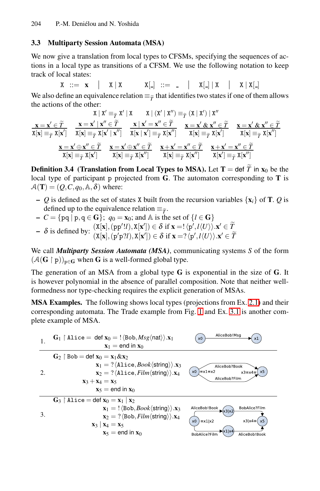### <span id="page-10-0"></span>**3.3 Multiparty Session Automata (MSA)**

We now give a translation from local types to CFSMs, specifying the sequences of actions in a local type as transitions of a CFSM. We use the following notation to keep track of local states: The also define an equivalence relation  $\equiv \frac{x}{T}$  that identifies two states if one of them allows<br>We also define an equivalence relation  $\equiv \frac{x}{T}$  that identifies two states if one of them allows

 $X \ ::=\ \mathbf{x} \ \vert \ \mathbf{X} \ \vert \ \mathbf{X} \ \vert \ \mathbf{X} \ \vert \ \vert \ \vdots \ \vert = \ \bot \ \ \vert \ \mathbf{X} \ \vert \ \vert \ \mathbf{X} \ \vert \ \mathbf{X} \ \vert \mathbf{X} \ \vert \ \mathbf{X}$ 

] ≡*T*-

X ::= 
$$
\mathbf{x} \mid X | X
$$
  $X|$ .  $\therefore$   $\mathbf{x} \in \mathbf{X}$   $\mathbf{x} \in \mathbf{X}$   $\mathbf{x} \in \mathbf{X}$   $\mathbf{x} \in \mathbf{X}$   $\mathbf{x} \in \mathbf{X}$   $\mathbf{x} \in \mathbf{X}$   $\mathbf{x} \in \mathbf{X}$   $\mathbf{x} \in \mathbf{X}$   $\mathbf{x} \in \mathbf{X}$   $\mathbf{x} \in \mathbf{X}$   $\mathbf{x} \in \mathbf{X}$   $\mathbf{x} \in \mathbf{X}$   $\mathbf{x} \in \mathbf{X}$   $\mathbf{x} \in \mathbf{X}$   $\mathbf{x} \in \mathbf{X}$   $\mathbf{x} \in \mathbf{X}$   $\mathbf{x} \in \mathbf{X}$   $\mathbf{x} \in \mathbf{X}$   $\mathbf{x} \in \mathbf{X}$   $\mathbf{x} \in \mathbf{X}$   $\mathbf{x} \in \mathbf{X}$   $\mathbf{x} \in \mathbf{X}$   $\mathbf{x} \in \mathbf{X}$   $\mathbf{x} \in \mathbf{X}$   $\mathbf{x} \in \mathbf{X}$   $\mathbf{x} \in \mathbf{X}$   $\mathbf{x} \in \mathbf{X}$   $\mathbf{x} \in \mathbf{X}$   $\mathbf{x} \in \mathbf{X}$   $\mathbf{x} \in \mathbf{X}$   $\mathbf{x} \in \mathbf{X}$   $\mathbf{x} \in \mathbf{X}$   $\mathbf{x} \in \mathbf{X}$   $\mathbf{x} \in \mathbf{X}$   $\mathbf{x} \in \mathbf{X}$   $\mathbf{x} \in \mathbf{X}$   $\mathbf{x} \in \mathbf{X}$   $\mathbf{x} \in \mathbf{X}$   $\mathbf{x} \in \mathbf{X}$   $\mathbf{x} \in \mathbf{X}$   $\mathbf{x} \in \mathbf{X}$   $\mathbf{x} \in \mathbf{X}$   $\mathbf{x} \in \mathbf{X}$  

local type of participant p projected from **G**. The automaton corresponding to **T** is  $A(\mathbf{T})=(Q,C,q_0,\mathbb{A},\delta)$  where:

- **–** *Q* is defined as the set of states X built from the recursion variables  $\{x_i\}$  of **T**. *Q* is defined up to the equivalence relation  $\vec{Q}$ <br>  $Q$  is defined as the set of states *X* built from defined up to the equivalence relation  $\equiv_{\tilde{T}}$ .  $Q(\mathbf{T}) = (Q, C, q_0, \mathbb{A}, \delta)$  where:<br>  $Q$  is defined as the set of states [X](#page-2-0) built from the recursion variable<br>
defined u[p](#page-4-0) to the equivalence relation  $\equiv_{\widetilde{T}}$ .<br>  $C = \{pq \mid p, q \in \mathbf{G}\}; q_0 = \mathbf{x}_0;$  $C = \{pq \mid p, q \in \mathbf{G}\}; q_0 = \mathbf{x}_0;$  $C = \{pq \mid p, q \in \mathbf{G}\}; q_0 = \mathbf{x}_0;$  and  $\mathbb{A}$  is the set of
- **−**  $C = \{pq \mid p, q \in \mathbf{G}\}\; ; \; q_0 = \mathbf{x}_0; \text{ and } \mathbb{A} \text{ is the set of } \{l \in \mathbf{G}\}\$
- 

We call *Multiparty Session Automata (MSA)*, communicating systems *S* of the form  $(A(G \mid p))_{p \in G}$  when **G** is a well-formed global type.

The generation of an MSA from a global type **G** is exponential in the size of **G**. It is however polynomial in the absence of parallel composition. Note that neither wellformedness nor type-checking requires the explicit generation of MSAs.

**MSA Examples.** The following shows local types (projections from Ex. 2.1) and their corresponding automata. The Trade example from Fig. 1 and Ex. 3.1 is another complete example of MSA.

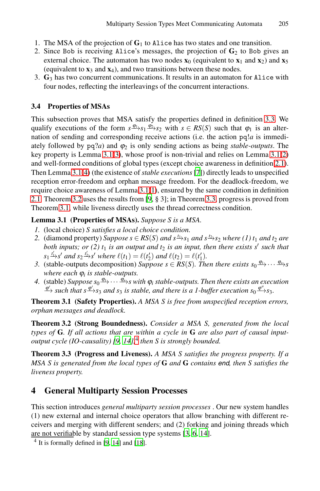- 1. The MSA of the projection of **G**<sup>1</sup> to Alice has two states and one transition.
- 2. Since Bob is receiving Alice's messages, the proje[ction](#page-9-1) of  $G_2$  to Bob gives an external choice. The automaton has two nodes  $\mathbf{x}_0$  (equivalent to  $\mathbf{x}_1$  and  $\mathbf{x}_2$ ) and  $\mathbf{x}_5$ (equivalent to  $\mathbf{x}_3$  and  $\mathbf{x}_4$ ), and two transitions between these nodes.
- 3. **G**<sup>3</sup> has two concurrent communications. It results in an automaton for Alice with [fou](#page-11-1)[r](#page-11-2) nodes, reflecting the interleavings of the concurren[t int](#page-11-1)[er](#page-11-3)actions.

### **3.4 Properties of MSAs**

<span id="page-11-4"></span><span id="page-11-3"></span><span id="page-11-1"></span>This subsectio[n pr](#page-11-1)[ov](#page-11-4)es that MSA satisfy the properties defined in definition 3.3. We qualify execution[s o](#page-19-17)f the form  $s \frac{\varphi_1}{s} s_1 \frac{\varphi_2}{s_2}$  with  $s \in RS(S)$  such that  $\varphi_1$  is an alternation of sending and corresponding receive actions (i.e. the action pq!*a* is immediately followed by  $pq?a$ ) and  $\varphi_2$  is only sending actions as being *stable-outputs*. The key property is Lemma 3.1(3), whose proof is non-trivial and relies on Lemma 3.1(2) and well-formed conditions of global types (except choice awareness in definition 2.1). Then Lemma 3.1(4) (the existence of *stable executions*[7]) directly leads to unspecified reception error-freedom and orphan message freedom. For the deadlock-freedom, we require choice awareness of Lemma 3.1(1), ensured by the same condition in definition 2.1. Theorem 3.2 uses the results from [9, § 3]; in Theorem 3.3, progress is proved from Theorem 3.1, while liveness directly uses the thread correctness condition.

### <span id="page-11-7"></span><span id="page-11-2"></span>**Lemma 3.1 (Properties of MSAs).** *Suppose S is a MSA.*

- *1.* (local choice) *S satisfies a local choice condition.*
- 2. (diamond property) *Suppose s*  $\in$  *RS*(*S*) *and s*<sup> $t_1$ </sup> $\rightarrow$ *s*<sub>1</sub> *and s*<sup> $t_2$ </sup> $\rightarrow$ *s*<sub>2</sub> *where* (1)  $t_1$  *and t*<sub>2</sub> *are both inputs; or (2)*  $t_1$  *is an output and*  $t_2$  *is an input, then there exists s' such that*  $s_1$ <sup> $t'_1$ </sup> $\rightarrow$ *s' and*  $s_2$ <sup> $t'_2$ </sup> $\rightarrow$ *s' where*  $\ell(t_1) = \ell(t'_2)$  *and*  $\ell(t_2) = \ell(t'_1)$ *.*
- *3.* (stable-outputs decomposition) *Suppose*  $s \in RS(S)$ *. Then there exists*  $s_0 \xrightarrow{\phi_1} \cdots \xrightarrow{\phi_n} s$ *wh[er](#page-19-17)[e ea](#page-19-0)[ch](#page-11-6)*  $\varphi_i$  *is stable-outputs.*
- <span id="page-11-5"></span>*4.* (stable) *Suppose*  $s_0 \frac{\varphi_1}{\cdots} \cdots \frac{\varphi_n}{\cdots} s$  *with*  $\varphi_i$  *stable-outputs. Then there exists an execution*  $\frac{\phi'}{2}$  *such that s* $\frac{\phi'}{2}$ *s*<sub>3</sub> *and s*<sub>3</sub> *is stable, and there is a 1-buffer execution s*<sub>0</sub> $\frac{\phi''}{2}$ *s*<sub>3</sub>*.*

**Theorem 3.1 (Safety Properties).** *A MSA S is free from unspecified reception errors, orphan messages and deadlock.*

<span id="page-11-0"></span>**Theorem 3.2 (Strong Boundedness).** *Consider a MSA S, generated from the local types of* **G***. If all actions that are within a cycle in* **G** *are also part of causal inputoutput cycle (IO-causality) [9, 14],*<sup>4</sup> *then S is strongly bounded.*

**Theorem 3.3 (Progress and Liveness).** *A MSA S satisfies the progress property. If a MSA S is generated from the l[oc](#page-19-12)[al](#page-19-14) [type](#page-19-0)s of* **G** *and* **G** *contains* end*, then S satisfies the live[ne](#page-19-17)[ss p](#page-19-0)rope[rty.](#page-19-16)*

# <span id="page-11-6"></span>**4 General Multiparty Session Processes**

This section introduces *general multiparty session processes* . Our new system handles (1) new external and internal choice operators that allow branching with different receivers and merging with different senders; and (2) forking and joining threads which are not verifiable by standard session type systems [3, 6, 14].

<sup>4</sup> It is formally defined in [9, 14] and [18].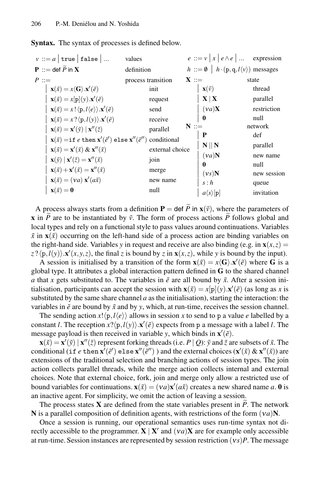| $v ::= a \mid \text{true} \mid \text{false} \mid $                                                                                       | values             |         |                                 | $e ::= v   x   e \wedge e   $ expression                          |
|------------------------------------------------------------------------------------------------------------------------------------------|--------------------|---------|---------------------------------|-------------------------------------------------------------------|
| <b>P</b> ::= def $\widetilde{P}$ in <b>X</b>                                                                                             | definition         |         |                                 | $h ::= \emptyset \mid h \cdot (p,q,l \langle v \rangle)$ messages |
| $P ::=$                                                                                                                                  | process transition | $X ::=$ |                                 | state                                                             |
| $\mathbf{x}(\tilde{x}) = x \langle \mathbf{G} \rangle \cdot \mathbf{x}'(\tilde{e})$                                                      | init               |         | $\mathbf{x}(\tilde{\nu})$       | thread                                                            |
| $\mathbf{x}(\tilde{x}) = x[\mathbf{p}](y).\mathbf{x}'(\tilde{e})$                                                                        | request            |         | $\mathbf{X}   \mathbf{X}$       | parallel                                                          |
| $\mathbf{x}(\tilde{x}) = x! \langle \mathbf{p}, l \langle e \rangle \rangle \mathbf{x'}(\tilde{e})$                                      | send               |         | $(\nu a)X$                      | restriction                                                       |
| $\mathbf{x}(\tilde{x}) = x ? \langle \mathbf{p}, l(y) \rangle . \mathbf{x}'(\tilde{e})$                                                  | receive            |         | $\mathbf{0}$                    | null                                                              |
| $\mathbf{x}(\tilde{x}) = \mathbf{x}'(\tilde{y}) \mid \mathbf{x}''(\tilde{z})$                                                            | parallel           | $N ::=$ |                                 | network                                                           |
| $\mathbf{x}(\tilde{x}) = \text{if } e \text{ then } \mathbf{x}'(\tilde{e}') \text{ else } \mathbf{x}''(\tilde{e}'') \text{ conditional}$ |                    |         | P                               | def                                                               |
| $\mathbf{x}(\tilde{x}) = \mathbf{x}'(\tilde{x}) \& \mathbf{x}''(\tilde{x})$                                                              | external choice    |         | $N \parallel N$                 | parallel                                                          |
| $\mathbf{x}(\tilde{y})   \mathbf{x}'(\tilde{z}) = \mathbf{x}''(\tilde{x})$                                                               | join               |         | (va)N                           | new name                                                          |
| $\mathbf{x}(\tilde{x}) + \mathbf{x}'(\tilde{x}) = \mathbf{x}''(\tilde{x})$                                                               | merge              |         | $\mathbf{0}$                    | null                                                              |
|                                                                                                                                          |                    |         | (vs)N                           | new session                                                       |
| $\mathbf{x}(\tilde{x}) = (va) \mathbf{x}'(a\tilde{x})$                                                                                   | new name           |         | s : h                           | queue                                                             |
| $\mathbf{x}(\tilde{x}) = \mathbf{0}$                                                                                                     | null               |         | $a\langle s\rangle[\mathbf{p}]$ | invitation                                                        |

**x** in  $\tilde{P}$  are to be instantiated by  $\tilde{v}$ . The form of process actions  $\tilde{P}$  follows global and local types and rely on a functional style to pass values around continuations. Variables  $\tilde{x}$  in  $\mathbf{x}(\tilde{x})$  occurring on the left-hand side of a process action are binding variables on the right-hand side. Variables *y* in request and receive are also binding (e.g. in  $\mathbf{x}(x, z) =$  $z$ ? $\langle p, l(y) \rangle$ . $\mathbf{x}'(x, y, z)$ , the final *z* is bound by *z* in  $\mathbf{x}(x, z)$ , while *y* is bound by the input).

A session is initialised by a transition of the form  $\mathbf{x}(\tilde{x}) = x \langle \mathbf{G} \rangle \cdot \mathbf{x}'(\tilde{e})$  where G is a global type. It attributes a global interaction pattern defined in **G** to the shared channel *a* that *x* gets substituted to. The variables in  $\tilde{e}$  are all bound by  $\tilde{x}$ . After a session initialisation, participants can accept the session with  $\mathbf{x}(\tilde{x}) = x[\mathbf{p}](y) \cdot \mathbf{x}'(\tilde{e})$  (as long as *x* is substituted by the same share channel  $a$  as the initialisation), starting the interaction: the variables in  $\tilde{e}$  are bound by  $\tilde{x}$  and by  $y$ , which, at run-time, receives the session channel.

The sending action  $x! \langle p, l \langle e \rangle \rangle$  allows in session x to send to p a value *e* labelled by a constant *l*. The reception  $x$ ? $\langle p, l(y) \rangle$ . $\mathbf{x}'(\tilde{e})$  expects from p a message with a label *l*. The message payload is then received in variable *y*, which binds in  $\mathbf{x}'(\tilde{e})$ .

 $\mathbf{x}(\tilde{x}) = \mathbf{x}'(\tilde{y}) | \mathbf{x}''(\tilde{z})$  represent forking threads (i.e. *P* | *Q*):  $\tilde{y}$  and  $\tilde{z}$  are subsets of  $\tilde{x}$ . The conditional (if *e* then  $\mathbf{x}'(\tilde{e}')$  else  $\mathbf{x}''(\tilde{e}'')$  ) and the external choices  $(\mathbf{x}'(\tilde{x}) \& \mathbf{x}''(\tilde{x}))$  are extensions of the traditional selection and branching actions of session types. The join action collects parallel threads, while the merge action collects internal and external choices. Note that external choice, fork, join and merge only allow a restricted use of bound variables for continuations.  $\mathbf{x}(\tilde{x}) = (\nu a)\mathbf{x}'(a\tilde{x})$  creates a new shared name *a*. **0** is an inactive agent. For simplicity, we omit the action of leaving a session. is ensions of the traditional selection and branching actions of session ty<br>ion collects parallel threads, while the merge action collects interna<br>pices. Note that external choice, fork, join and merge only allow a re-<br>un

The process states  $X$  are defined from the state variables present in  $\tilde{P}$ . The network **N** is a parallel composition of definition agents, with restrictions of the form (ν*a*)**N**.

Once a session is running, our operational semantics uses run-time syntax not directly accessible to the programmer. **X** | **X**<sup> $\prime$ </sup> and  $(\nu a)$ **X** are for example only accessible at run-time. Session instances are represented by session restriction (ν*s*)*P*. The message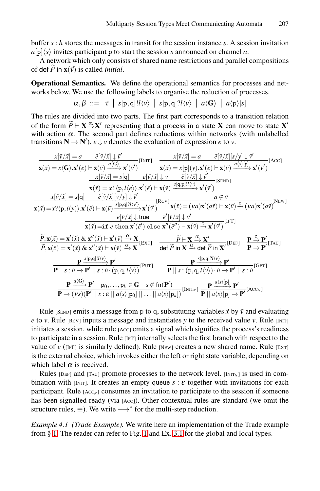buffer *s* : *h* stores the messages in transit for the session instance *s*. A session invitation  $a[p]\langle s \rangle$  invites participant p to start the session *s* announced on channel *a*.

A network which only consists of shared name restrictions and parallel compositions buffer *s*<br>  $a[p]\langle s \rangle$  i<br>
A net<br>
of def  $\tilde{P}$ *P* in  $\mathbf{x}(\vec{v})$  is called *initial*.

**Operational Semantics.** We define the operational semantics for processes and networks below. We use the following labels to organise the reduction of processes. **Operational** 9:<br>works below.<br>The rules are<br>of the form  $\tilde{P}$ 

$$
\alpha, \beta \ ::= \ \tau \ | \ s[p,q] ! l \langle v \rangle \ | \ s[p,q] ? l \langle v \rangle \ | \ a \langle G \rangle \ | \ a \langle p \rangle [s]
$$

The rules are divided into two parts. The first part corresponds to a transition relation  $\widetilde{P} \vdash \mathbf{X} \xrightarrow{\alpha} \mathbf{X}'$  representing that a process in a state **X** can move to state **X** with action  $\alpha$ . The second part defines reductions within networks (with unlabelled transitions  $N \rightarrow N'$ ).  $e \downarrow v$  denotes the evaluation of expression *e* to *v*.

$$
\frac{x[\tilde{v}/\tilde{x}]=a \quad \tilde{e}[\tilde{v}/\tilde{x}]\downarrow \tilde{v}'}{x(\tilde{x})=x\langle G\rangle.x'(\tilde{e})\vdash x(\tilde{v}) \quad \frac{x[\tilde{v}/\tilde{x}]}{a(\tilde{x})} \frac{x(\tilde{v})}{x} \frac{x(\tilde{v})}{x(\tilde{x})} = x[\mathbf{p}](y).x'(\tilde{e})\vdash x(\tilde{v}) \quad \frac{x[\tilde{v}/\tilde{x}]}{a\langle s\rangle[\mathbf{p}]}\cdot x'(\tilde{v}')}{x(\tilde{v})\overline{x}]=s[\mathbf{q}]\quad e[\tilde{v}/\tilde{x}]\downarrow \tilde{v} \quad \frac{\tilde{e}[\tilde{v}/\tilde{x}]\downarrow \tilde{v}'}{a\langle \tilde{v}\rangle[\mathbf{p}]}\cdot \frac{x[\tilde{v}/\tilde{x}]=s[\mathbf{q}]\quad e[\tilde{v}/\tilde{x}]\downarrow \tilde{v}'}{x(\tilde{x})=x!(p,l/e)\cdot x'(e)\vdash x(\tilde{v}) \quad \frac{s[\mathbf{q},\mathbf{p}](l\langle v\rangle)}{s(\mathbf{q},\mathbf{p})(l\langle v\rangle)} \times r'(\tilde{v}')}{a\langle \tilde{x}\rangle=\mathbf{p}(\mathbf{p})\mathbf{p}(\mathbf{p})}\cdot \frac{\tilde{e}[\tilde{v}/\tilde{x}][v\langle v\rangle]\downarrow \tilde{v}'}{x(\tilde{x})=(va)x'(a\tilde{x})\vdash x(\tilde{v}) \stackrel{\tilde{\tau}}{\to}(va)x'(a\tilde{v})} = (va)x'(a\tilde{v}) \stackrel{\tilde{\tau}}{\to}(va)x'(a\tilde{v})}{x(\tilde{x})=x'(p,l(y)).x'(\tilde{e})\vdash x(\tilde{v}) \stackrel{\tilde{\tau}}{\to} x'(\tilde{v}')\quad \text{are}\quad \frac{\tilde{e}[\tilde{v}/\tilde{x}]\downarrow \tilde{v}'}{x(\tilde{x})=(va)x'(a\tilde{x})\vdash x(\tilde{v})}\cdot \frac{\tilde{\tau}}{x(\tilde{x})} = (va)x'(a\tilde{x})\cdot \tilde{\tau}}{x(\tilde{x})=x'(x)\cdot 2x''(\tilde{x})\vdash
$$

Rule  $(SEND)$  emits a message from p to q, substituting variables  $\tilde{x}$  by  $\tilde{v}$  and evaluating *e* to *v*. Rule  $[Rev]$  inputs a message and instantiates *y* to the received value *v*. Rule  $[INT]$ initiates a session, while rule [Acc] emits a signal which signifies the process's readiness to participate in a session. Rule [IFT] internally selects the first branch with respect to the value of  $e$  ([IFF] is similarly defined). Rule [NEW] creates a new shared name. Rule [EXT] is the external choice, which invokes either the left or right state variable, depending on which label  $\alpha$  is [re](#page-2-0)ceived.

Rules [DEF] and [TAU] promote processes to the network level.  $[INT_N]$  is used in combination with [INIT]. It creates an empty queue  $s : \varepsilon$  together with invitations for each participant. Rule [Acc<sub>N</sub>] consumes an invitation to participate to the session if someone has been signalled ready (via [Acc]). Other contextual rules are standard (we omit the structure rules,  $\equiv$ ). We write  $\longrightarrow^*$  for the multi-step reduction.

*Example 4.1 (Trade Example).* We write here an implementation of the Trade example from § 1. The reader can refer to Fig. 1 and Ex. 3.1 for the global and local types.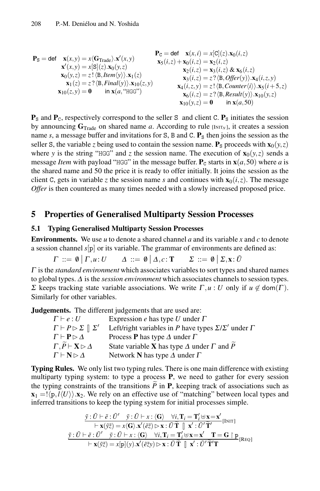$$
\mathbf{P}_{S} = \text{def} \quad \mathbf{x}(x, y) = x(\mathbf{G}_{\text{Trade}}) \cdot \mathbf{x}'(x, y) \qquad \mathbf{P}_{C} = \text{def} \quad \mathbf{x}(x, i) = x[C](z) \cdot \mathbf{x}_{0}(i, z) \n\mathbf{x}'(x, y) = x[S](z) \cdot \mathbf{x}_{0}(y, z) \qquad \mathbf{x}_{0}(i, z) = \mathbf{x}_{2}(i, z) \n\mathbf{x}_{0}(y, z) = z! \langle \mathbf{B}, \text{Item}(y) \rangle \cdot \mathbf{x}_{1}(z) \qquad \mathbf{x}_{1}(z) = z? \langle \mathbf{B}, \text{Final}(y) \rangle \cdot \mathbf{x}_{10}(z, y) \qquad \mathbf{x}_{1}(i, z, y) = z! \langle \mathbf{B}, \text{Counter}(i) \rangle \cdot \mathbf{x}_{5}(i+5, z) \n\mathbf{x}_{10}(z, y) = 0 \qquad \text{in } \mathbf{x}(a, \text{ "HGC"}) \qquad \mathbf{x}_{10}(y, z) = 0 \qquad \text{in } \mathbf{x}(a, 50) \qquad \mathbf{x}_{10}(y, z) = 0 \qquad \text{in } \mathbf{x}(a, 50) \qquad \mathbf{x}_{10}(y, z) = 0 \qquad \text{in } \mathbf{x}(a, 50) \qquad \mathbf{x}_{10}(y, z) = 0 \qquad \text{in } \mathbf{x}(a, 50) \qquad \mathbf{x}_{10}(y, z) = 0 \qquad \mathbf{x}_{10}(y, z) = 0 \qquad \mathbf{x}_{10}(y, z) = 0 \qquad \mathbf{x}_{10}(y, z) = 0 \qquad \mathbf{x}_{10}(y, z) = 0 \qquad \mathbf{x}_{10}(y, z) = 0 \qquad \mathbf{x}_{10}(y, z) = 0 \qquad \mathbf{x}_{10}(y, z) = 0 \qquad \mathbf{x}_{10}(y, z) = 0 \qquad \mathbf{x}_{10}(y, z) = 0 \qquad \mathbf{x}_{10}(y, z) = 0 \qquad \mathbf{x}_{10}(y, z) = 0 \qquad \mathbf{x}_{10}(y, z) = 0 \qquad \mathbf{x}_{10}(y, z) = 0 \qquad \mathbf{x}_{10}(y, z) = 0
$$

 $\mathbf{P}_\text{S}$  and  $\mathbf{P}_\text{C}$ , respectively correspond to the seller S and client C.  $\mathbf{P}_\text{S}$  initiates the session by announcing  $G_{\text{Trade}}$  on shared name *a*. According to rule  $\text{[Intr}_{N}]$ , it creates a session name  $s$ , a message buffer and invitations for S, B and C.  $P_s$  then joins the session as the seller S, the variable *z* being used to contain the session name.  $P_s$  proceeds with  $\mathbf{x}_0(y, z)$ where *y* is the string "HGG" and *z* the session name. The execution of  $\mathbf{x}_0(y, z)$  sends a message *Item* with payload "HGG" in the message buffer.  $P_c$  starts in  $\mathbf{x}(a,50)$  where *a* is the shared name and 50 the price it is ready to offer initially. It joins the session as the client C, gets in variable *z* the session name *s* and continues with  $\mathbf{x}_0(i, z)$ . The message *Offer* is then countered as many times needed with a slowly increased proposed price.

# <span id="page-14-0"></span>**5 Properties of Generalised Multiparty Session Processes**

### **5.1 Typing Generalised Multiparty Session Processes**

**Environments.** We use *u* to denote a shared channel *a* and its variable *x* and *c* to denote a session channel *s*[p] or its variable. The grammar of environments are defined as:

$$
\Gamma ::= \emptyset \mid \Gamma, u : U \qquad \Delta ::= \emptyset \mid \Delta, c : \mathbf{T} \qquad \Sigma ::= \emptyset \mid \Sigma, \mathbf{x} : \tilde{U}
$$

<sup>Γ</sup> is the *standard environment* which associates variables to sort types and shared names to global types. <sup>Δ</sup> is the *session environment* which associates channels to session types. Σ keeps tracking state variable associations. We write  $\Gamma, u : U$  only if  $u \notin \text{dom}(\Gamma)$ . Similarly for other variables.

**Judgements.** The different judgements that are used are:

| <b>nents.</b> The different judgements that are used are:                |  |  |  |  |
|--------------------------------------------------------------------------|--|--|--|--|
| Expression e has type U under $\Gamma$                                   |  |  |  |  |
| Left/right variables in P have types $\Sigma/\Sigma'$ under $\Gamma$     |  |  |  |  |
| Process <b>P</b> has type $\Delta$ under $\Gamma$                        |  |  |  |  |
| State variable <b>X</b> has type $\Delta$ under $\Gamma$ and $\tilde{P}$ |  |  |  |  |
| Network N has type $\Delta$ under $\Gamma$                               |  |  |  |  |
|                                                                          |  |  |  |  |

**Typing Rules.** We only list two typing rules. There is one main difference with existing multiparty typing system: to type a process **P**, we need to gather for every session  $\Gamma, \widetilde{P} \vdash \mathbf{X} \triangleright \Delta$  State variable **X** has type  $\Delta$  under  $\Gamma$  and  $\widetilde{P}$ <br> **Typing Rules.** We only list two typing rules. There is one main difference with existing<br>
multiparty typing system: to type a process  $\mathbf{x}_1 = !\langle \mathbf{p}, l \langle U \rangle \rangle$ .  $\mathbf{x}_2$ . We rely on an effective use of "matching" between local types and inferred transitions to keep the typing system for initial processes simple. Fractive use of<br>system for i<br> $\frac{-x:\langle G \rangle \quad \forall i,}{(\tilde{\varepsilon}\tilde{z}) \triangleright x:\tilde{U}\tilde{T}}$ ra<br>ng<br><u>x</u><br>T

sitions to keep the typing system for initial processes simple.  
\n
$$
\frac{\tilde{y}: \tilde{U} \vdash \tilde{e}: \tilde{U}' \quad \tilde{y}: \tilde{U} \vdash x: \langle \mathbf{G} \rangle \quad \forall i, \mathbf{T}_i = \mathbf{T}'_i \uplus \mathbf{x} = \mathbf{x}'}{\vdash \mathbf{x}(\tilde{y}\tilde{z}) = x(\mathbf{G}) \cdot \mathbf{x}'(\tilde{e}\tilde{z}) \rhd \mathbf{x}: \tilde{U} \tilde{\mathbf{T}} \parallel \mathbf{x}': \tilde{U}' \tilde{\mathbf{T}}'
$$
\n
$$
\frac{\tilde{y}: \tilde{U} \vdash \tilde{e}: \tilde{U}' \quad \tilde{y}: \tilde{U} \vdash x: \langle \mathbf{G} \rangle \quad \forall i, \mathbf{T}_i = \mathbf{T}'_i \uplus \mathbf{x} = \mathbf{x}' \quad \mathbf{T} = \mathbf{G} \upharpoonright \mathbf{p}}{\vdash \mathbf{x}(\tilde{y}\tilde{z}) = x[\mathbf{p}](y) \cdot \mathbf{x}'(\tilde{e}\tilde{z}) \rhd \mathbf{x}: \tilde{U} \tilde{\mathbf{T}} \parallel \mathbf{x}': \tilde{U}' \tilde{\mathbf{T}}' \mathbf{T}}
$$
\n[Reg]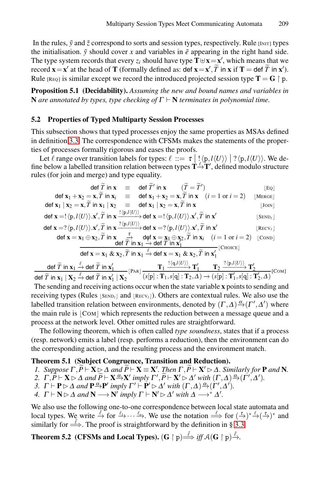<span id="page-15-0"></span>In the rules,  $\tilde{y}$  and  $\tilde{z}$  correspond to sorts and session types, respectively. Rule [INIT] types the initialisation.  $\tilde{y}$  should cover *x* and variables in  $\tilde{e}$  appearing in the right hand side. The type system records that every  $z_i$  should have type  $\mathbf{T} \oplus \mathbf{x} = \mathbf{x}'$ , which means that we record  $\mathbf{x} = \mathbf{x}'$  at the head of **T** (formally defined as: def  $\mathbf{x} = \mathbf{x}', \widetilde{T}$  in  $\mathbf{x}$  if  $\mathbf{T} =$  def  $\widetilde{T}$  in  $\mathbf{x}'$ ). um<br>spe<br>ing<br>,,*T* in *x* if *x* if *x* if *x* if *x* if *x* if *x* if *T* = def  $\tilde{T}$ Rule  $_{[REQ]}$  is similar except we record the introduced projected session type  $T = G \restriction p$ .

**Proposition 5.1 (Decidability).** *Assuming the new and bound names and variables in* **N** *are annotated by types, type checking of*  $\Gamma \vdash N$  *terminates in polynomial time.* 

### **5.2 Properties of Typed Multiparty Session Processes**

This subsection shows that typed processes enjoy the same properties as MSAs defined in definition 3.3. The correspondence with CFSMs makes the statements of the properties of processes formally rigorous and eases the proofs.

Let  $\ell$  range over transition labels for types:  $\ell ::= \tau | ! \langle p, l \langle U \rangle \rangle | ? \langle p, l \langle U \rangle \rangle$ . We define below a labelled transition relation between types  $\mathbf{T} \rightarrow \mathbf{T}'$ , defined modulo structure rules (for join and merge) and type equality. mally rigorous and eases the proofs.<br>
transition labels for types:  $\ell := \tau \mid \ell$ <br>
d transition relation between types  $\mathbf{T}^{\perp}$ <br>
herge) and type equality.<br>
def  $\tilde{T}$  in  $\mathbf{x} = \det \tilde{T}'$  in  $\mathbf{x} = (\tilde{T} - \tilde{T})$ range over transition labels for types:  $\ell$  ::=<br>
by a labelled transition relation between type<br>
or join and merge) and type equality.<br>
def  $\tilde{T}$  in  $\mathbf{x}$  = def  $\tilde{T}'$  in  $\mathbf{x}$  ( $\tilde{T}$ <br>
def  $\mathbf{x}_1 + \mathbf{x}_2 = \mathbf{x}, \til$ 

| ine below a labelled transition relation between types $\mathbf{T} \rightarrow \mathbf{T}'$ , defined modulo structure<br>ules (for join and merge) and type equality.                                                                                                                                                                                                                                                                                                                                                                                       |                        |
|--------------------------------------------------------------------------------------------------------------------------------------------------------------------------------------------------------------------------------------------------------------------------------------------------------------------------------------------------------------------------------------------------------------------------------------------------------------------------------------------------------------------------------------------------------------|------------------------|
| def $\widetilde{T}$ in $\mathbf{x}$ = def $\widetilde{T}'$ in $\mathbf{x}$ $(\widetilde{T} = \widetilde{T}')$                                                                                                                                                                                                                                                                                                                                                                                                                                                | Eq                     |
| def $\mathbf{x}_1 + \mathbf{x}_2 = \mathbf{x}, \widetilde{T}$ in $\mathbf{x}_i \equiv$ def $\mathbf{x}_1 + \mathbf{x}_2 = \mathbf{x}, \widetilde{T}$ in $\mathbf{x}$ $(i = 1 \text{ or } i = 2)$                                                                                                                                                                                                                                                                                                                                                             | MERGE <sup> </sup>     |
| def $\mathbf{x}_1   \mathbf{x}_2 = \mathbf{x}, \widetilde{T}$ in $\mathbf{x}_1   \mathbf{x}_2 =$ def $\mathbf{x}_1   \mathbf{x}_2 = \mathbf{x}, \widetilde{T}$ in $\mathbf{x}$                                                                                                                                                                                                                                                                                                                                                                               | $ $ JOIN $ $           |
| def $\mathbf{x} = !\langle \mathbf{p}, l\langle U \rangle \rangle \mathbf{x}', \widetilde{T}$ in $\mathbf{x} \xrightarrow{! \langle \mathbf{p}, l\langle U \rangle \rangle}$ def $\mathbf{x} = !\langle \mathbf{p}, l\langle U \rangle \rangle \mathbf{x}', \widetilde{T}$ in $\mathbf{x}'$                                                                                                                                                                                                                                                                  | $ $ SEND $_{\ell}$ $ $ |
| def $\mathbf{x} = ?\langle \mathbf{p}, l\langle U \rangle \rangle \mathbf{x}', \widetilde{T}$ in $\mathbf{x} \xrightarrow{? \langle \mathbf{p}, l\langle U \rangle \rangle}$ def $\mathbf{x} = ?\langle \mathbf{p}, l\langle U \rangle \rangle \mathbf{x}', \widetilde{T}$ in $\mathbf{x}'$                                                                                                                                                                                                                                                                  | $ $ RECV $_{\ell}$ $ $ |
| def $\mathbf{x} = \mathbf{x}_1 \oplus \mathbf{x}_2$ , $\widetilde{T}$ in $\mathbf{x}$ $\overset{\tau}{\longrightarrow}$ def $\mathbf{x} = \mathbf{x}_1 \oplus \mathbf{x}_2$ , $\widetilde{T}$ in $\mathbf{x}_i$ $(i = 1 \text{ or } i = 2)$<br>def $\widetilde{T}$ in $\mathbf{x}_1 \overset{\tau}{\rightarrow}$ def $T$ in $\mathbf{x}_1^{\prime}$                                                                                                                                                                                                          | COND                   |
| def $\mathbf{x} = \mathbf{x}_1 \& \mathbf{x}_2, \widetilde{T}$ in $\mathbf{x}_1 \stackrel{\ell}{\rightarrow}$ def $\mathbf{x} = \mathbf{x}_1 \& \mathbf{x}_2, \widetilde{T}$ in $\mathbf{x}'_1$ [Choice]                                                                                                                                                                                                                                                                                                                                                     |                        |
| $\frac{\operatorname{def} \widetilde{T} \text{ in } \mathbf{x}_1 \stackrel{\ell}{\to} \operatorname{def} \widetilde{T} \text{ in } \mathbf{x}_1'}{\operatorname{def} \widetilde{T} \text{ in } \mathbf{x}_1 \perp \mathbf{x}_2 \stackrel{\ell}{\to} \operatorname{def} \widetilde{T} \text{ in } \mathbf{x}_1'} \frac{ \mathbf{T}_1 \xrightarrow{1 \langle \mathbf{q}, l \langle U \rangle \rangle} \mathbf{T}_1'}{\langle s[\mathbf{p}] : \mathbf{T}_1, s[\mathbf{q}] : \mathbf{T}_2, \varDelta \rangle \to \langle s[\mathbf{p}] : \mathbf{T}_1', s[\math$ |                        |
|                                                                                                                                                                                                                                                                                                                                                                                                                                                                                                                                                              |                        |
|                                                                                                                                                                                                                                                                                                                                                                                                                                                                                                                                                              |                        |

<span id="page-15-1"></span>The sending and receiving actions occur when the state variable **x** points to sending and receiving types (Rules  $|S_{END_l}|$  and  $|Recv_l|$ ). Others are contextual rules. We also use the labelled transition relation between environments, denoted by  $(\Gamma, \Delta) \xrightarrow{\alpha} (\Gamma', \Delta')$  where the main rule is  $|COM|$  which represents the reduction between a message queue and a process at the network level. Other omitted rules are straightforward.

The following theorem, which is often called *type soundness*, states that if a process (resp. network) emits a label (resp. performs a reduction), then the environment can do the corresponding action, and the resulting process and the environment match. **1.** The following theorem, which is often called *type soundness*, states that if a process resp. network) emits a label (resp. performs a reduction), then the environment can do the corresponding action, and the resulti *2. Γ, P*  $\vdash$  **X** $\triangleright$  *Δ and*  $\widetilde{P} \vdash$  **X**  $\stackrel{\frown}{\cong}$  **X***' i*mply *Γ'*,  $\widetilde{P} \vdash$  **X**' $\triangleright$  *X*' $\triangleright$  *Z and*  $\widetilde{P} \vdash$  **X**  $\cong$  **X***'. Then Γ,*  $\widetilde{P} \vdash$  *X'* $\triangleright$  *<i>Δ*. *Similarly for* **I**  $\frac{1}{2}$  and  $\frac{1}{2}$  is a set of  $\frac{T}{P}$ 

### <span id="page-15-2"></span>**Theorem 5.1 (Subject Congruence, Transiti[on](#page-10-0) [an](#page-10-0)d Reduction).**

- 
- 
- *3.*  $\Gamma \vdash \mathbf{P} \triangleright \Delta$  *and*  $\mathbf{P} \xrightarrow{\alpha} \mathbf{P}'$  *imply*  $\Gamma' \vdash \mathbf{P}' \triangleright \Delta'$  *with*  $(\Gamma, \Delta) \xrightarrow{\alpha} (\Gamma', \Delta').$
- *4.*  $\Gamma \vdash N \rhd \Delta$  and  $N \longrightarrow N'$  imply  $\Gamma \vdash N' \rhd \Delta'$  with  $\Delta \longrightarrow^* \Delta'$ .

We also use the following one-to-one correspondence between local state automata and local types. We write  $\stackrel{\ell}{\to}$  for  $\stackrel{\ell_1}{\to} \cdots \stackrel{\ell_n}{\to}$ . We use the notation  $\stackrel{\ell}{\Longrightarrow}$  for  $(\stackrel{\tau}{\to})^* \stackrel{\ell}{\to} (\stackrel{\tau}{\to})^*$  and similarly for  $\stackrel{\tilde{\ell}}{\Longrightarrow}$ . The proof is straightforward by the definition in § 3.3.

**Theorem 5.2** (CFSMs and Local Types). (G  $\upharpoonright$  p) $\stackrel{\tilde{\ell}}{\Longrightarrow}$  *iff A*(G  $\upharpoonright$  p) $\stackrel{\tilde{\ell}}{\rightarrow}$ .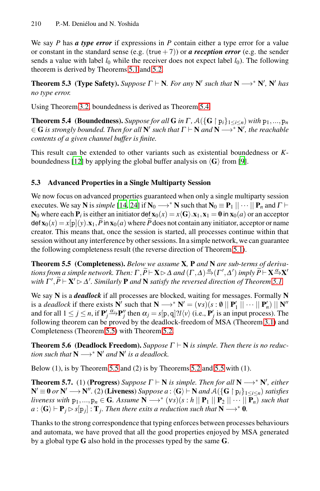<span id="page-16-0"></span>We say *P* has *a type error* if expr[essio](#page-16-0)ns in *P* contain either a type error for a value or constant in the standard sense (e.g. (true  $+7$ )) or *a reception error* (e.g. the sender sends a value with label  $l_0$  while the receiver does not expect label  $l_0$ ). The following theorem is derived by Theorems 5.1 and 5.2.

**Theorem 5.3** (Type Safety). Suppose  $\Gamma \vdash N$ . For any  $N'$  such that  $N \rightarrow N'$ ,  $N'$  has *no type error.*

Using Theorem 3.2, boundedness is derived as Theorem 5.4.

**Theorem 5.4** (Boundedness). *Suppose for all* **G** *in*  $\Gamma$  *,*  $\mathcal{A}(\{\mathbf{G} \mid \mathbf{p}_i\}_{1 \leq i \leq n})$  *with*  $\mathbf{p}_1, ..., \mathbf{p}_n$  $\in$  **G** *is strongly bounded. Then for all*  $N'$  *such that*  $\Gamma \vdash N$  *and*  $N \rightarrow^* N'$ *, the reachable contents [of](#page-19-0) [a](#page-19-18) [gi](#page-19-18)ven channel buffer is finite.*

This result can be extended to other variants such as existential boundedness or *K*boundedness [12] by applying the global buffer analysis on  $\langle G \rangle$  from [9].

### <span id="page-16-1"></span>**5.3 Advanced Properties in a Single Multi[part](#page-15-1)y Session**

We now focus on advanced properties guaranteed when only a single multiparty session executes. We say **N** is *simple* [14, 24] if  $N_0 \rightarrow N$  such that  $N_0 \equiv P_1 || \cdots || P_n$  and  $\Gamma \vdash$  $N_0$  where each  $P_i$  is either an initiator def  $\mathbf{x}_0(x) = x \langle \mathbf{G} \rangle . \mathbf{x}_1, \mathbf{x}_1 = \mathbf{0}$  $\mathbf{x}_0(x) = x \langle \mathbf{G} \rangle . \mathbf{x}_1, \mathbf{x}_1 = \mathbf{0}$  $\mathbf{x}_0(x) = x \langle \mathbf{G} \rangle . \mathbf{x}_1, \mathbf{x}_1 = \mathbf{0}$  in  $\mathbf{x}_0(a)$  or an acceptor **5.3 Advanced Properties in a Single** 1<br>We now focus on advanced properties gu<br>executes. We say N is *simple* [14, 24] if N<br> $N_0$  where each  $P_i$  is either an initiator def<br>def  $\mathbf{x}_0(x) = x[p](y) \cdot \mathbf{x}_1$ ,  $\tilde{P}$  in  $\mathbf$ def  $\mathbf{x}_0(x) = x[\mathbf{p}](y) \cdot \mathbf{x}_1$ ,  $\widetilde{P}$  in  $\mathbf{x}_0(a)$  where  $\widetilde{P}$  does not contain any initiator, acceptor or name creator. This means that, once the session is started, all processes continue within that session without any interference by other sessions. In a simple network, we can guarantee the following completeness result (the re session without any interference by other sessions. In a simple network, we can guarantee the following completeness result (the reverse direction o[f Th](#page-11-7)eorem 5.1).

**The[orem](#page-16-1) 5.5 (Compl[eten](#page-15-2)ess).** *Below we assume* **X***,* **P** *and* **N** *are sub-terms of deriva-* $\vdash$  **X**  $\triangleright$   $\Delta$  and  $(\Gamma, \Delta) \stackrel{\alpha}{\rightarrow} (\Gamma', \Delta')$  imply  $\widetilde{P} \vdash$  **X**  $\stackrel{\alpha}{\rightarrow}$ **X** $'$ with  $\Gamma', \widetilde{P} \vdash \mathbf{X}' \rhd \Delta'.$  Similarly  $\mathbf{P}$  and  $\mathbf{N}$  satisfy the reversed direction of Theorem 5.1. wi<br>
ow<br>
<u>P</u>-<br>
pm<br>  $\widetilde{P}$ 

We s[ay](#page-16-1) **N** is a *deadlock* if all pro[cess](#page-15-2)es [are b](#page-16-1)locked, waiting for messages. Formally **N** is a *deadlock* if there exists **N**' such that  $N \rightarrow N' = (vs)(s : 0 \mid P'_1 \mid \cdots \mid P'_n) \mid N''$ and for all  $1 \le j \le n$ , if  $\mathbf{P}'_j \xrightarrow{\alpha_j} \mathbf{P}''_j$  then  $\alpha_j = s[p, q]$ ?*l* $\langle v \rangle$  (i.e.,  $\mathbf{P}'_j$  is an input process). The following theorem can be proved by the deadlock-freedom of MSA (Theorem 3.1) and Completeness (Theorem 5.5) with Theorem 5.2.

**Theorem 5.6** (Deadlock Freedom). *Suppose*  $\Gamma \vdash N$  *is simple. Then there is no reduction such that*  $N \rightarrow^* N'$  *and*  $N'$  *is a deadlock.* 

Below (1), is by Theorem 5.5 and (2) is by Theorems 5.2 and 5.5 with (1).

**Theorem 5.7.** (1) (**Progress**) *Suppose*  $\Gamma \vdash N$  *is simple. Then for all*  $N \rightarrow N'$ , *either*  $N' ≡ 0$  *or*  $N' \rightarrow N''$ . (2) (**Liveness**) *Suppose a* :  $\langle G \rangle \vdash N$  *and*  $\mathcal{A}(\lbrace G \restriction p_i \rbrace_{1 \leq i \leq n})$  *satisfies liveness with*  $p_1,...,p_n \in G$ *. Assume*  $N \longrightarrow^* (vs)(s : h \mid P_1 \mid P_2 \mid \cdots \mid P_n)$  *such that*  $a: \langle G \rangle \vdash P_i \triangleright s[p_i] : T_i$ . Then there exits a reduction such that  $N \longrightarrow^* 0$ .

Thanks to the strong correspondence that typing enforces between processes behaviours and automata, we have proved that all the good properties enjoyed by MSA generated by a global type **G** also hold in the processes typed by the same **G**.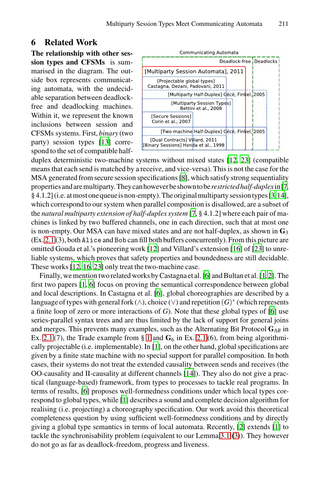### <span id="page-17-0"></span>**6 Related Work**

**The relationship with other session types and CFSMs** is summ[aris](#page-19-11)ed in the diagram. The outside box represents communicating automata, with the undecidable separation between deadlockfree and deadlocking mach[in](#page-19-1)es. Within it, we represent the known inclusions between session and CFSMs systems. First, *binary* (two party) session types [13] corr[e](#page-19-10)spond to the set of compatible half-



duplex deterministic two-machine systems without mixed states [12, 23] (compatible means that each send is matched by a receive, and vice-versa). This is not the case for the MSA generated fro[m s](#page-19-9)ecure session specificati[ons](#page-19-19) [8], [whi](#page-19-15)ch satisfy strong sequentiality propertiesandaremultiparty.Theycanhoweverbeshowntobe*restrictedhalf-duplex*in[7, [§ 4.](#page-19-15)1.2](i.e.atmostonequeueisnon-empty).Theoriginalmultipartysession types[3,14], which correspond to our system when [p](#page-19-14)arallel compositi[on](#page-19-20) [is](#page-19-21) disallowed, are a subset of [t](#page-19-14)he *natural multiparty extension of half-duplex system* [7, § 4.1.2] where each pair of machines is linked by t[wo](#page-19-14) buffered channels, one in each direction, such that at most one is non-empty. Our MSA can have mixed states and are not half-duplex, as shown in **G**<sup>3</sup>  $(Ex. 2.1 (3))$ , both Alice and Bob can fill both buffers concurr[en](#page-19-14)tly). From this picture are omitted Gouda et al.'s pioneering work [12] and Villard's extension [16] of [23] to unreliable systems, which proves that safety properties and boundedness are still decidable. These works [12, [16](#page-0-0), 23] only treat [the t](#page-4-0)wo-machine case.

Finally, we menti[on](#page-19-20) two related works by Castagna et al. [6] and Bultan et al. [1, 2]. The first two papers [1, 6] focus on proving the semantical correspondence between global and local descriptions. In Castagna et al. [6], global choreographies are described by a language of types with general f[ork](#page-19-0) (∧), choice (∨) and repetition (*G*)<sup>∗</sup> (which represents a finite loop of zero or more interactions of *G*). Note that these global types of [6] use series-parallel syntax trees and are thus limited by the lack of support for general joins and merg[es.](#page-19-20) This prevents many examples, such as the Alternating Bit Protocol **G***AB* in Ex. 2.1 (7), the Trade example from  $\S$  1 and  $G_6$  in Ex. 2.1 (6), from being algorithmically projectable (i.e. implementable). In [1], on the other hand, global specifications are given by a finite state machine with no special su[pp](#page-19-21)ort for pa[ral](#page-19-20)lel composition. In both cases, their systems do not treat the extend[ed c](#page-11-1)[aus](#page-11-2)ality between sends and receives (the OO-causality and II-causality at different channels [14]). They also do not give a practical (language-based) framework, from types to processes to tackle real programs. In terms of results, [6] proposes well-formedness conditions under which local types correspond to global types, while [1] describes a sound and complete decision algorithm for realising (i.e. projecting) a choreography specification. Our work avoid this theoretical completeness question by using sufficient well-formedness conditions and by directly giving a global type semantics in terms of local automata. Recently, [2] extends [1] to tackle the synchronisability problem (equivalent to our Lemma 3.1 (3)). They however do not go as far as deadlock-freedom, progress and liveness.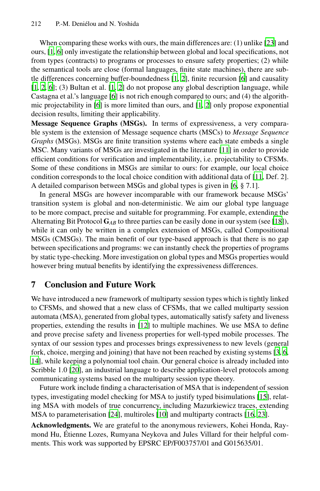When comparing these works w[ith](#page-19-20) [ou](#page-19-21)rs, the main differences are: (1) unlike [23] and ours, [1, 6] only investigate the relationship between global and local specifications, not from types (contracts) to programs or processes to ensure safety properties; (2) while the semantical tools are close (formal languages, finite state machines), there are subtle differences concerning buffer-bounded[ness](#page-19-22) [1, 2], finite recursion [6] and causality [1, 2, 6]; (3) Bultan et al. [1, 2] do not propose any global description language, while Castagna et al.'s language [6] is not rich enough compared to ours; and (4) the algorithmic projectability in [6] is more limited than ours, an[d \[1](#page-19-22), 2] only propose exponential decision results, limiting their applicability.

**Message Sequence Graphs (MSGs).** In ter[ms](#page-19-14) of expressiveness, a very comparable system is the extension of Message sequence charts (MSCs) to *Message Sequence Graphs* (MSGs). MSGs are finite transition systems where each state embeds a single MSC. Many variants of MSGs are investigated in the literatu[re \[](#page-19-16)11] in order to provide efficient conditions for verification and implementability, i.e. projectability to CFSMs. Some of these conditions in MSGs are similar to ours: for example, our local choice condition corresponds to the local choice condition with additional data of [11, Def. 2]. A detailed comparison between MSGs and global types is given in [6, § 7.1].

In general MSGs are however incomparable with our framework because MSGs' transition system is global and non-deterministic. We aim our global type language to be more compact, precise and suitable for programming. For example, extending the Alternating Bit Protocol  $G_{AB}$  to three parties can be easily done in our system (see [18]), while it can only be written in a complex extension of MSGs, called Compositional MSGs (CMSGs). The main benefit of our type-based approach is that there is no gap between specifications and programs: we can instantly check the properties of programs by static type-c[hec](#page-19-9)king. More investigation on global types and MSGs properties would however bring mutual benefits by identifying the expressiveness differences.

### **7 Conclusion and Future Work**

We have introduced a new framework of multiparty session types which is tightly linked to CFSMs, and showed that a new class of CFSMs, that we called multiparty session automata (MSA), generated from global types, automatically satisfy safety and liveness properties, extending the results in [12] to multiple ma[chi](#page-19-23)nes. We use MSA to define and prove precise safety and liveness properties for well-typed mobile processes. The synta[x o](#page-19-18)f our session [typ](#page-19-24)es and processes brings e[xpre](#page-19-19)[ssiv](#page-19-15)eness to new levels (general fork, choice, merging and joining) that have not been reached by existing systems [3, 6, 14], while keeping a polynomial tool chain. Our general choice is already included into Scribble 1.0 [20], an industrial language to describe application-level protocols among communicating systems based on the multiparty session type theory.

Future work include finding a characterisation of MSA that is independent of session types, investigating model checking for MSA to justify typed bisimulations [15], relating MSA with models of true concurrency, including Mazurkiewicz traces, extending MSA to parameterisation [24], multiroles [10] and multiparty contracts [16, 23].

**Acknowledgments.** We are grateful to the anonymous reviewers, Kohei Honda, Raymond Hu, Etienne Lozes, Rumyana Neykova and Jules Villard for their helpful com- ´ ments. This work was supported by EPSRC EP/F003757/01 and G015635/01.